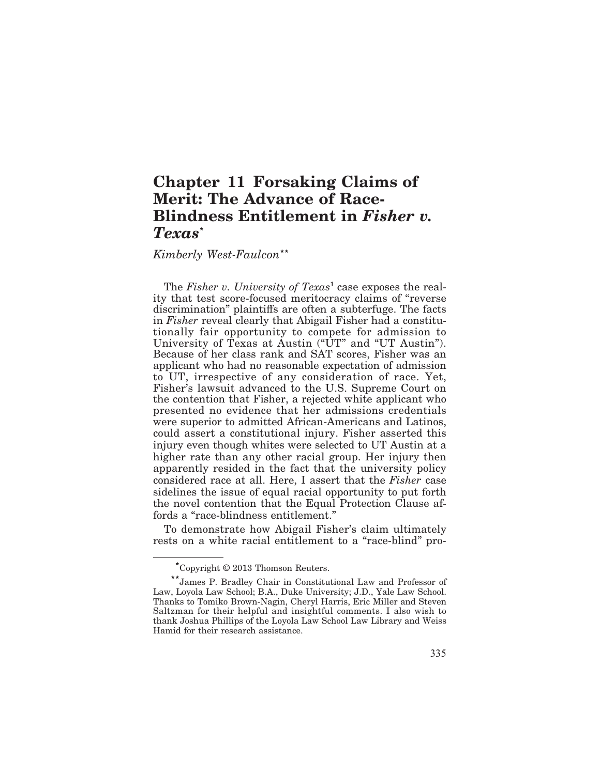# **Chapter 11 Forsaking Claims of Merit: The Advance of Race-Blindness Entitlement in** *Fisher v. Texas***\***

*Kimberly West-Faulcon***\*\***

The *Fisher v. University of Texas***<sup>1</sup>** case exposes the reality that test score-focused meritocracy claims of "reverse discrimination" plaintiffs are often a subterfuge. The facts in *Fisher* reveal clearly that Abigail Fisher had a constitutionally fair opportunity to compete for admission to University of Texas at Austin ("UT" and "UT Austin"). Because of her class rank and SAT scores, Fisher was an applicant who had no reasonable expectation of admission to UT, irrespective of any consideration of race. Yet, Fisher's lawsuit advanced to the U.S. Supreme Court on the contention that Fisher, a rejected white applicant who presented no evidence that her admissions credentials were superior to admitted African-Americans and Latinos, could assert a constitutional injury. Fisher asserted this injury even though whites were selected to UT Austin at a higher rate than any other racial group. Her injury then apparently resided in the fact that the university policy considered race at all. Here, I assert that the *Fisher* case sidelines the issue of equal racial opportunity to put forth the novel contention that the Equal Protection Clause affords a "race-blindness entitlement."

To demonstrate how Abigail Fisher's claim ultimately rests on a white racial entitlement to a "race-blind" pro-

**<sup>\*</sup>**Copyright © 2013 Thomson Reuters.

**<sup>\*\*</sup>**James P. Bradley Chair in Constitutional Law and Professor of Law, Loyola Law School; B.A., Duke University; J.D., Yale Law School. Thanks to Tomiko Brown-Nagin, Cheryl Harris, Eric Miller and Steven Saltzman for their helpful and insightful comments. I also wish to thank Joshua Phillips of the Loyola Law School Law Library and Weiss Hamid for their research assistance.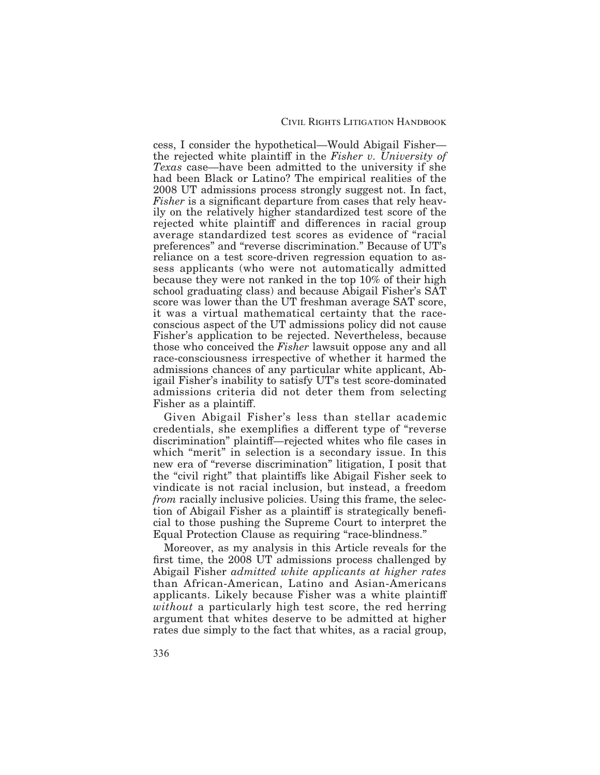cess, I consider the hypothetical—Would Abigail Fisher the rejected white plaintiff in the *Fisher v. University of Texas* case—have been admitted to the university if she had been Black or Latino? The empirical realities of the 2008 UT admissions process strongly suggest not. In fact, *Fisher* is a significant departure from cases that rely heavily on the relatively higher standardized test score of the rejected white plaintiff and differences in racial group average standardized test scores as evidence of "racial preferences" and "reverse discrimination." Because of UT's reliance on a test score-driven regression equation to assess applicants (who were not automatically admitted because they were not ranked in the top 10% of their high school graduating class) and because Abigail Fisher's SAT score was lower than the UT freshman average SAT score, it was a virtual mathematical certainty that the raceconscious aspect of the UT admissions policy did not cause Fisher's application to be rejected. Nevertheless, because those who conceived the *Fisher* lawsuit oppose any and all race-consciousness irrespective of whether it harmed the admissions chances of any particular white applicant, Abigail Fisher's inability to satisfy UT's test score-dominated admissions criteria did not deter them from selecting Fisher as a plaintiff.

Given Abigail Fisher's less than stellar academic credentials, she exemplifies a different type of "reverse discrimination" plaintiff—rejected whites who file cases in which "merit" in selection is a secondary issue. In this new era of "reverse discrimination" litigation, I posit that the "civil right" that plaintiffs like Abigail Fisher seek to vindicate is not racial inclusion, but instead, a freedom *from* racially inclusive policies. Using this frame, the selection of Abigail Fisher as a plaintiff is strategically beneficial to those pushing the Supreme Court to interpret the Equal Protection Clause as requiring "race-blindness."

Moreover, as my analysis in this Article reveals for the first time, the 2008 UT admissions process challenged by Abigail Fisher *admitted white applicants at higher rates* than African-American, Latino and Asian-Americans applicants. Likely because Fisher was a white plainti *without* a particularly high test score, the red herring argument that whites deserve to be admitted at higher rates due simply to the fact that whites, as a racial group,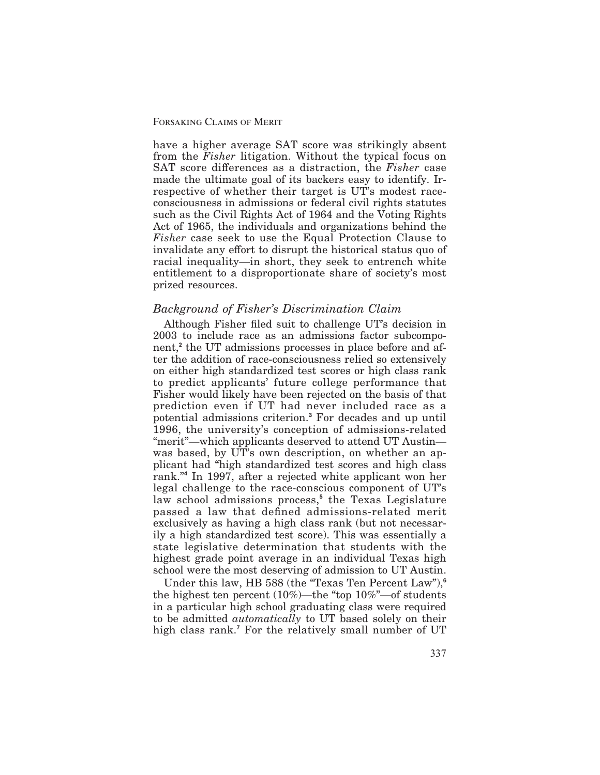have a higher average SAT score was strikingly absent from the *Fisher* litigation. Without the typical focus on SAT score differences as a distraction, the *Fisher* case made the ultimate goal of its backers easy to identify. Irrespective of whether their target is UT's modest raceconsciousness in admissions or federal civil rights statutes such as the Civil Rights Act of 1964 and the Voting Rights Act of 1965, the individuals and organizations behind the *Fisher* case seek to use the Equal Protection Clause to invalidate any effort to disrupt the historical status quo of racial inequality—in short, they seek to entrench white entitlement to a disproportionate share of society's most prized resources.

## *Background of Fisher's Discrimination Claim*

Although Fisher filed suit to challenge UT's decision in 2003 to include race as an admissions factor subcomponent,<sup>2</sup> the UT admissions processes in place before and after the addition of race-consciousness relied so extensively on either high standardized test scores or high class rank to predict applicants' future college performance that Fisher would likely have been rejected on the basis of that prediction even if UT had never included race as a potential admissions criterion.**<sup>3</sup>** For decades and up until 1996, the university's conception of admissions-related "merit"—which applicants deserved to attend UT Austin was based, by UT's own description, on whether an applicant had "high standardized test scores and high class rank."**<sup>4</sup>** In 1997, after a rejected white applicant won her legal challenge to the race-conscious component of UT's law school admissions process,**<sup>5</sup>** the Texas Legislature passed a law that defined admissions-related merit exclusively as having a high class rank (but not necessarily a high standardized test score). This was essentially a state legislative determination that students with the highest grade point average in an individual Texas high school were the most deserving of admission to UT Austin.

Under this law, HB 588 (the "Texas Ten Percent Law"),**<sup>6</sup>** the highest ten percent (10%)—the "top 10%"—of students in a particular high school graduating class were required to be admitted *automatically* to UT based solely on their high class rank.<sup>7</sup> For the relatively small number of UT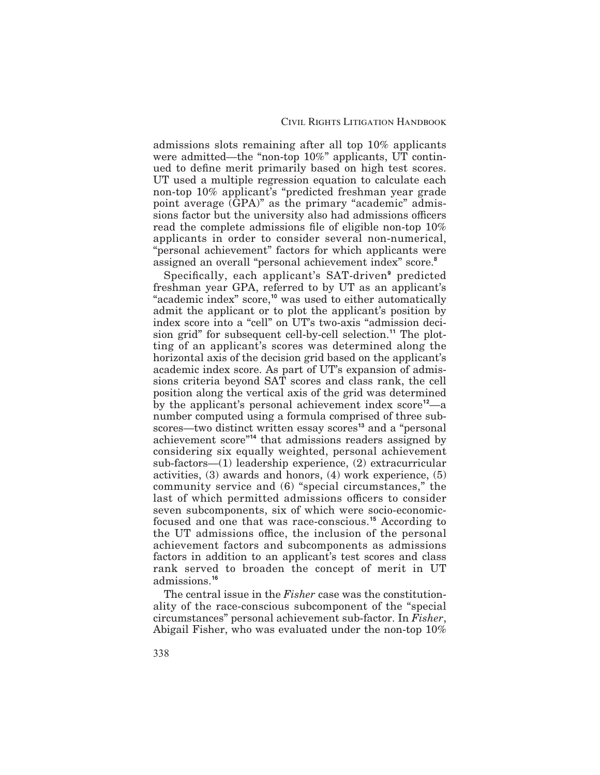admissions slots remaining after all top 10% applicants were admitted—the "non-top 10%" applicants, UT continued to define merit primarily based on high test scores. UT used a multiple regression equation to calculate each non-top 10% applicant's "predicted freshman year grade point average (GPA)" as the primary "academic" admissions factor but the university also had admissions officers read the complete admissions file of eligible non-top  $10\%$ applicants in order to consider several non-numerical, "personal achievement" factors for which applicants were assigned an overall "personal achievement index" score.**<sup>8</sup>**

Specifically, each applicant's SAT-driven<sup>9</sup> predicted freshman year GPA, referred to by UT as an applicant's "academic index" score,**<sup>10</sup>** was used to either automatically admit the applicant or to plot the applicant's position by index score into a "cell" on UT's two-axis "admission decision grid" for subsequent cell-by-cell selection.**<sup>11</sup>** The plotting of an applicant's scores was determined along the horizontal axis of the decision grid based on the applicant's academic index score. As part of UT's expansion of admissions criteria beyond SAT scores and class rank, the cell position along the vertical axis of the grid was determined by the applicant's personal achievement index score**<sup>12</sup>**—a number computed using a formula comprised of three subscores—two distinct written essay scores**<sup>13</sup>** and a "personal achievement score"**<sup>14</sup>** that admissions readers assigned by considering six equally weighted, personal achievement sub-factors—(1) leadership experience, (2) extracurricular activities, (3) awards and honors, (4) work experience, (5) community service and (6) "special circumstances," the last of which permitted admissions officers to consider seven subcomponents, six of which were socio-economicfocused and one that was race-conscious.**<sup>15</sup>** According to the UT admissions office, the inclusion of the personal achievement factors and subcomponents as admissions factors in addition to an applicant's test scores and class rank served to broaden the concept of merit in UT admissions.**<sup>16</sup>**

The central issue in the *Fisher* case was the constitutionality of the race-conscious subcomponent of the "special circumstances" personal achievement sub-factor. In *Fisher*, Abigail Fisher, who was evaluated under the non-top 10%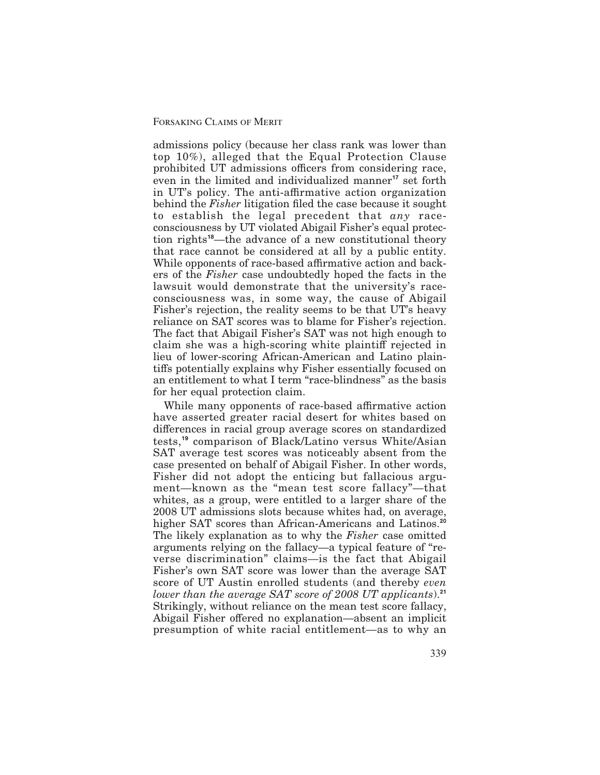admissions policy (because her class rank was lower than top 10%), alleged that the Equal Protection Clause prohibited UT admissions officers from considering race, even in the limited and individualized manner**<sup>17</sup>** set forth in UT's policy. The anti-affirmative action organization behind the *Fisher* litigation filed the case because it sought to establish the legal precedent that *any* raceconsciousness by UT violated Abigail Fisher's equal protection rights**<sup>18</sup>**—the advance of a new constitutional theory that race cannot be considered at all by a public entity. While opponents of race-based affirmative action and backers of the *Fisher* case undoubtedly hoped the facts in the lawsuit would demonstrate that the university's raceconsciousness was, in some way, the cause of Abigail Fisher's rejection, the reality seems to be that UT's heavy reliance on SAT scores was to blame for Fisher's rejection. The fact that Abigail Fisher's SAT was not high enough to claim she was a high-scoring white plaintiff rejected in lieu of lower-scoring African-American and Latino plaintiffs potentially explains why Fisher essentially focused on an entitlement to what I term "race-blindness" as the basis for her equal protection claim.

While many opponents of race-based affirmative action have asserted greater racial desert for whites based on differences in racial group average scores on standardized tests,**<sup>19</sup>** comparison of Black/Latino versus White/Asian SAT average test scores was noticeably absent from the case presented on behalf of Abigail Fisher. In other words, Fisher did not adopt the enticing but fallacious argument—known as the "mean test score fallacy"—that whites, as a group, were entitled to a larger share of the 2008 UT admissions slots because whites had, on average, higher SAT scores than African-Americans and Latinos.**<sup>20</sup>** The likely explanation as to why the *Fisher* case omitted arguments relying on the fallacy—a typical feature of "reverse discrimination" claims—is the fact that Abigail Fisher's own SAT score was lower than the average SAT score of UT Austin enrolled students (and thereby *even lower than the average SAT score of 2008 UT applicants*).**<sup>21</sup>** Strikingly, without reliance on the mean test score fallacy, Abigail Fisher offered no explanation—absent an implicit presumption of white racial entitlement—as to why an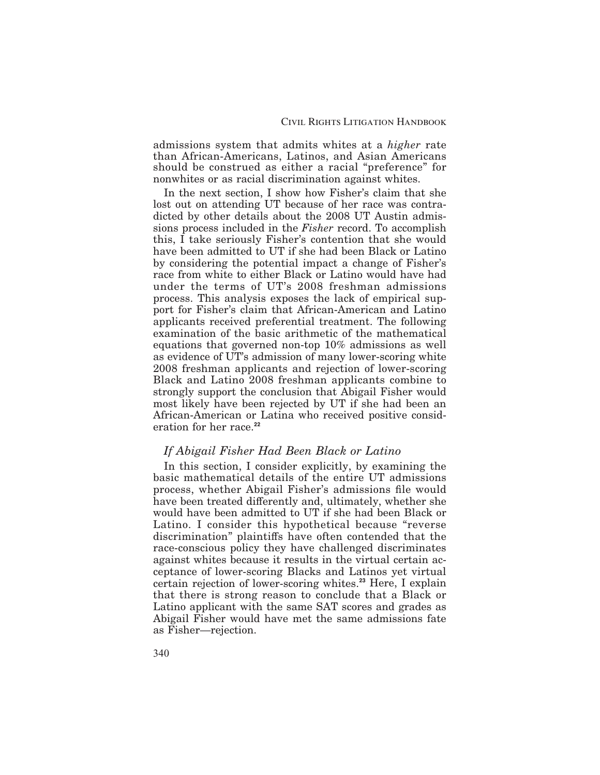admissions system that admits whites at a *higher* rate than African-Americans, Latinos, and Asian Americans should be construed as either a racial "preference" for nonwhites or as racial discrimination against whites.

In the next section, I show how Fisher's claim that she lost out on attending UT because of her race was contradicted by other details about the 2008 UT Austin admissions process included in the *Fisher* record. To accomplish this, I take seriously Fisher's contention that she would have been admitted to UT if she had been Black or Latino by considering the potential impact a change of Fisher's race from white to either Black or Latino would have had under the terms of UT's 2008 freshman admissions process. This analysis exposes the lack of empirical support for Fisher's claim that African-American and Latino applicants received preferential treatment. The following examination of the basic arithmetic of the mathematical equations that governed non-top 10% admissions as well as evidence of UT's admission of many lower-scoring white 2008 freshman applicants and rejection of lower-scoring Black and Latino 2008 freshman applicants combine to strongly support the conclusion that Abigail Fisher would most likely have been rejected by UT if she had been an African-American or Latina who received positive consideration for her race.**<sup>22</sup>**

## *If Abigail Fisher Had Been Black or Latino*

In this section, I consider explicitly, by examining the basic mathematical details of the entire UT admissions process, whether Abigail Fisher's admissions file would have been treated differently and, ultimately, whether she would have been admitted to UT if she had been Black or Latino. I consider this hypothetical because "reverse discrimination" plaintiffs have often contended that the race-conscious policy they have challenged discriminates against whites because it results in the virtual certain acceptance of lower-scoring Blacks and Latinos yet virtual certain rejection of lower-scoring whites.**<sup>23</sup>** Here, I explain that there is strong reason to conclude that a Black or Latino applicant with the same SAT scores and grades as Abigail Fisher would have met the same admissions fate as Fisher—rejection.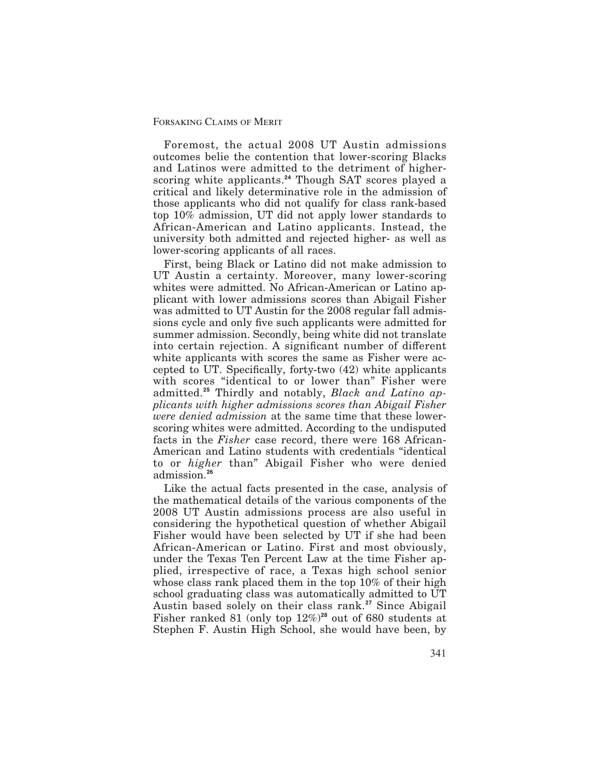Foremost, the actual 2008 UT Austin admissions outcomes belie the contention that lower-scoring Blacks and Latinos were admitted to the detriment of higherscoring white applicants.**<sup>24</sup>** Though SAT scores played a critical and likely determinative role in the admission of those applicants who did not qualify for class rank-based top 10% admission, UT did not apply lower standards to African-American and Latino applicants. Instead, the university both admitted and rejected higher- as well as lower-scoring applicants of all races.

First, being Black or Latino did not make admission to UT Austin a certainty. Moreover, many lower-scoring whites were admitted. No African-American or Latino applicant with lower admissions scores than Abigail Fisher was admitted to UT Austin for the 2008 regular fall admissions cycle and only five such applicants were admitted for summer admission. Secondly, being white did not translate into certain rejection. A significant number of different white applicants with scores the same as Fisher were accepted to UT. Specifically, forty-two  $(42)$  white applicants with scores "identical to or lower than" Fisher were admitted.**<sup>25</sup>** Thirdly and notably, *Black and Latino applicants with higher admissions scores than Abigail Fisher were denied admission* at the same time that these lowerscoring whites were admitted. According to the undisputed facts in the *Fisher* case record, there were 168 African-American and Latino students with credentials "identical to or *higher* than" Abigail Fisher who were denied admission.**<sup>26</sup>**

Like the actual facts presented in the case, analysis of the mathematical details of the various components of the 2008 UT Austin admissions process are also useful in considering the hypothetical question of whether Abigail Fisher would have been selected by UT if she had been African-American or Latino. First and most obviously, under the Texas Ten Percent Law at the time Fisher applied, irrespective of race, a Texas high school senior whose class rank placed them in the top 10% of their high school graduating class was automatically admitted to UT Austin based solely on their class rank.**<sup>27</sup>** Since Abigail Fisher ranked 81 (only top 12%)**<sup>28</sup>** out of 680 students at Stephen F. Austin High School, she would have been, by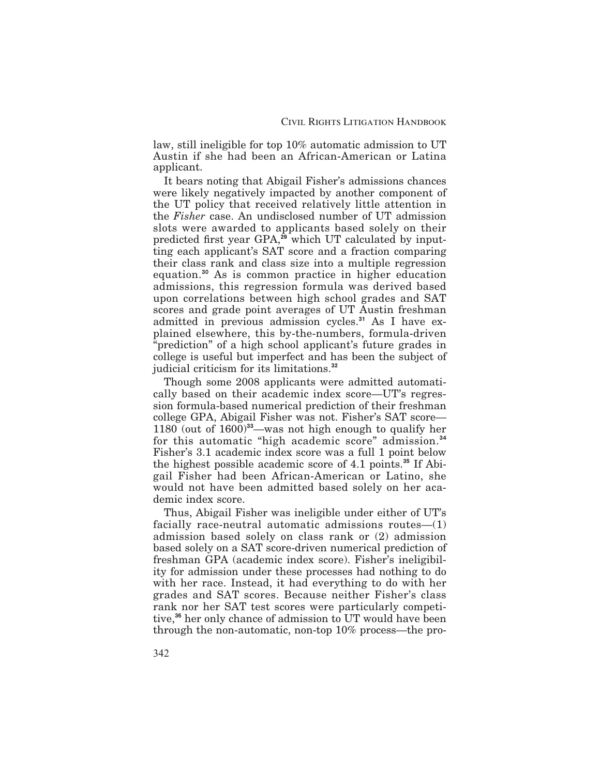law, still ineligible for top 10% automatic admission to UT Austin if she had been an African-American or Latina applicant.

It bears noting that Abigail Fisher's admissions chances were likely negatively impacted by another component of the UT policy that received relatively little attention in the *Fisher* case. An undisclosed number of UT admission slots were awarded to applicants based solely on their predicted first year GPA,<sup>29</sup> which UT calculated by inputting each applicant's SAT score and a fraction comparing their class rank and class size into a multiple regression equation.**<sup>30</sup>** As is common practice in higher education admissions, this regression formula was derived based upon correlations between high school grades and SAT scores and grade point averages of UT Austin freshman admitted in previous admission cycles.**<sup>31</sup>** As I have explained elsewhere, this by-the-numbers, formula-driven "prediction" of a high school applicant's future grades in college is useful but imperfect and has been the subject of judicial criticism for its limitations.**<sup>32</sup>**

Though some 2008 applicants were admitted automatically based on their academic index score—UT's regression formula-based numerical prediction of their freshman college GPA, Abigail Fisher was not. Fisher's SAT score— 1180 (out of 1600)**<sup>33</sup>**—was not high enough to qualify her for this automatic "high academic score" admission.**<sup>34</sup>** Fisher's 3.1 academic index score was a full 1 point below the highest possible academic score of 4.1 points.**<sup>35</sup>** If Abigail Fisher had been African-American or Latino, she would not have been admitted based solely on her academic index score.

Thus, Abigail Fisher was ineligible under either of UT's facially race-neutral automatic admissions routes—(1) admission based solely on class rank or (2) admission based solely on a SAT score-driven numerical prediction of freshman GPA (academic index score). Fisher's ineligibility for admission under these processes had nothing to do with her race. Instead, it had everything to do with her grades and SAT scores. Because neither Fisher's class rank nor her SAT test scores were particularly competitive,**<sup>36</sup>** her only chance of admission to UT would have been through the non-automatic, non-top 10% process—the pro-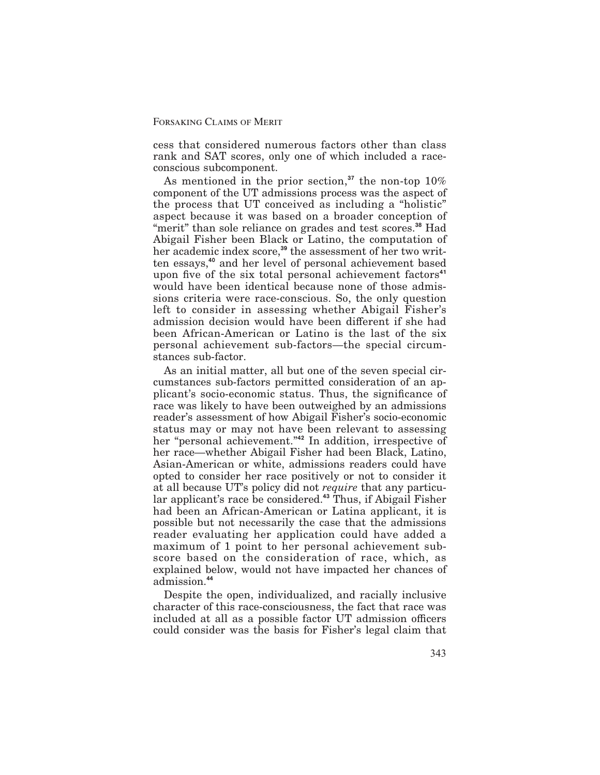cess that considered numerous factors other than class rank and SAT scores, only one of which included a raceconscious subcomponent.

As mentioned in the prior section,**<sup>37</sup>** the non-top 10% component of the UT admissions process was the aspect of the process that UT conceived as including a "holistic" aspect because it was based on a broader conception of "merit" than sole reliance on grades and test scores.**<sup>38</sup>** Had Abigail Fisher been Black or Latino, the computation of her academic index score,**<sup>39</sup>** the assessment of her two written essays,**<sup>40</sup>** and her level of personal achievement based upon five of the six total personal achievement factors<sup>41</sup> would have been identical because none of those admissions criteria were race-conscious. So, the only question left to consider in assessing whether Abigail Fisher's admission decision would have been different if she had been African-American or Latino is the last of the six personal achievement sub-factors—the special circumstances sub-factor.

As an initial matter, all but one of the seven special circumstances sub-factors permitted consideration of an applicant's socio-economic status. Thus, the significance of race was likely to have been outweighed by an admissions reader's assessment of how Abigail Fisher's socio-economic status may or may not have been relevant to assessing her "personal achievement."**<sup>42</sup>** In addition, irrespective of her race—whether Abigail Fisher had been Black, Latino, Asian-American or white, admissions readers could have opted to consider her race positively or not to consider it at all because UT's policy did not *require* that any particular applicant's race be considered.**<sup>43</sup>** Thus, if Abigail Fisher had been an African-American or Latina applicant, it is possible but not necessarily the case that the admissions reader evaluating her application could have added a maximum of 1 point to her personal achievement subscore based on the consideration of race, which, as explained below, would not have impacted her chances of admission.**<sup>44</sup>**

Despite the open, individualized, and racially inclusive character of this race-consciousness, the fact that race was included at all as a possible factor UT admission officers could consider was the basis for Fisher's legal claim that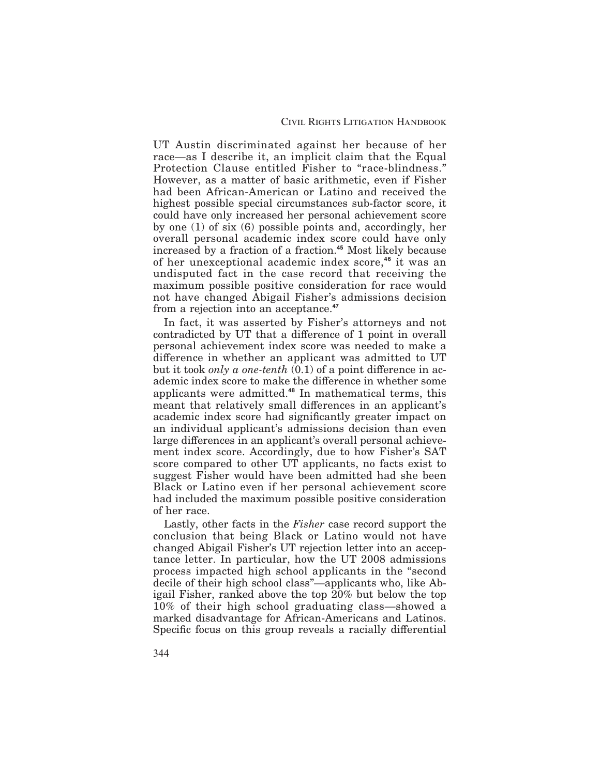UT Austin discriminated against her because of her race—as I describe it, an implicit claim that the Equal Protection Clause entitled Fisher to "race-blindness." However, as a matter of basic arithmetic, even if Fisher had been African-American or Latino and received the highest possible special circumstances sub-factor score, it could have only increased her personal achievement score by one (1) of six (6) possible points and, accordingly, her overall personal academic index score could have only increased by a fraction of a fraction.**<sup>45</sup>** Most likely because of her unexceptional academic index score,**<sup>46</sup>** it was an undisputed fact in the case record that receiving the maximum possible positive consideration for race would not have changed Abigail Fisher's admissions decision from a rejection into an acceptance.**<sup>47</sup>**

In fact, it was asserted by Fisher's attorneys and not contradicted by UT that a difference of 1 point in overall personal achievement index score was needed to make a difference in whether an applicant was admitted to UT but it took *only a one-tenth*  $(0.1)$  of a point difference in academic index score to make the difference in whether some applicants were admitted.**<sup>48</sup>** In mathematical terms, this meant that relatively small differences in an applicant's academic index score had significantly greater impact on an individual applicant's admissions decision than even large differences in an applicant's overall personal achievement index score. Accordingly, due to how Fisher's SAT score compared to other UT applicants, no facts exist to suggest Fisher would have been admitted had she been Black or Latino even if her personal achievement score had included the maximum possible positive consideration of her race.

Lastly, other facts in the *Fisher* case record support the conclusion that being Black or Latino would not have changed Abigail Fisher's UT rejection letter into an acceptance letter. In particular, how the UT 2008 admissions process impacted high school applicants in the "second decile of their high school class"—applicants who, like Abigail Fisher, ranked above the top 20% but below the top 10% of their high school graduating class—showed a marked disadvantage for African-Americans and Latinos. Specific focus on this group reveals a racially differential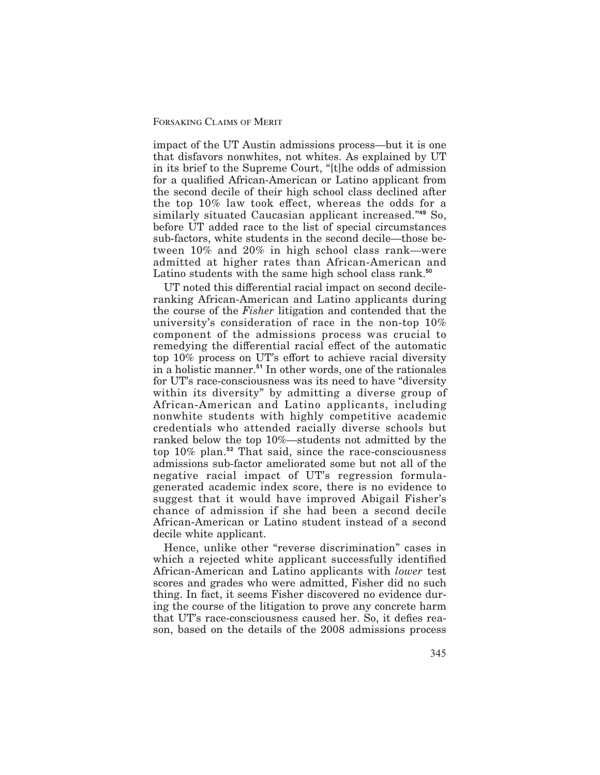impact of the UT Austin admissions process—but it is one that disfavors nonwhites, not whites. As explained by UT in its brief to the Supreme Court, "[t]he odds of admission for a qualified African-American or Latino applicant from the second decile of their high school class declined after the top  $10\%$  law took effect, whereas the odds for a similarly situated Caucasian applicant increased."**<sup>49</sup>** So, before UT added race to the list of special circumstances sub-factors, white students in the second decile—those between 10% and 20% in high school class rank—were admitted at higher rates than African-American and Latino students with the same high school class rank.**<sup>50</sup>**

UT noted this differential racial impact on second decileranking African-American and Latino applicants during the course of the *Fisher* litigation and contended that the university's consideration of race in the non-top 10% component of the admissions process was crucial to remedying the differential racial effect of the automatic top  $10\%$  process on UT's effort to achieve racial diversity in a holistic manner.**<sup>51</sup>** In other words, one of the rationales for UT's race-consciousness was its need to have "diversity within its diversity" by admitting a diverse group of African-American and Latino applicants, including nonwhite students with highly competitive academic credentials who attended racially diverse schools but ranked below the top 10%—students not admitted by the top 10% plan.**<sup>52</sup>** That said, since the race-consciousness admissions sub-factor ameliorated some but not all of the negative racial impact of UT's regression formulagenerated academic index score, there is no evidence to suggest that it would have improved Abigail Fisher's chance of admission if she had been a second decile African-American or Latino student instead of a second decile white applicant.

Hence, unlike other "reverse discrimination" cases in which a rejected white applicant successfully identified African-American and Latino applicants with *lower* test scores and grades who were admitted, Fisher did no such thing. In fact, it seems Fisher discovered no evidence during the course of the litigation to prove any concrete harm that UT's race-consciousness caused her. So, it defies reason, based on the details of the 2008 admissions process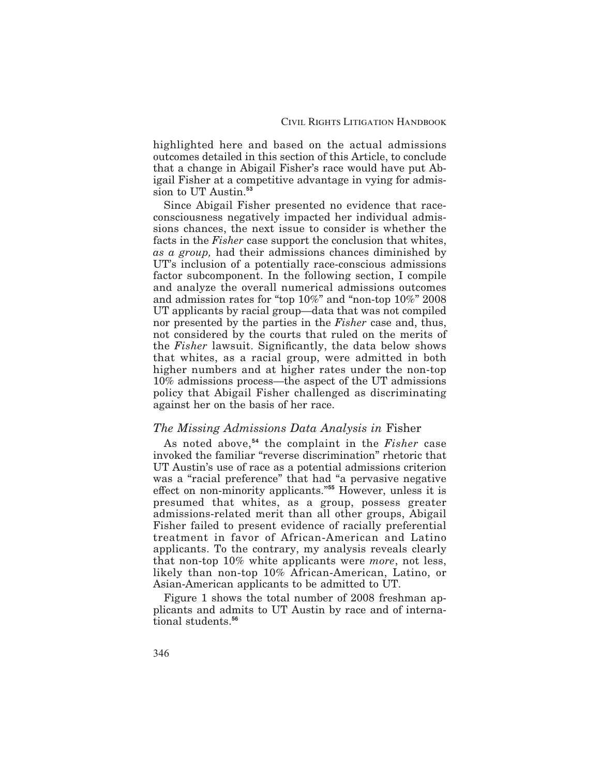highlighted here and based on the actual admissions outcomes detailed in this section of this Article, to conclude that a change in Abigail Fisher's race would have put Abigail Fisher at a competitive advantage in vying for admission to UT Austin.**<sup>53</sup>**

Since Abigail Fisher presented no evidence that raceconsciousness negatively impacted her individual admissions chances, the next issue to consider is whether the facts in the *Fisher* case support the conclusion that whites, *as a group,* had their admissions chances diminished by UT's inclusion of a potentially race-conscious admissions factor subcomponent. In the following section, I compile and analyze the overall numerical admissions outcomes and admission rates for "top 10%" and "non-top 10%" 2008 UT applicants by racial group—data that was not compiled nor presented by the parties in the *Fisher* case and, thus, not considered by the courts that ruled on the merits of the *Fisher* lawsuit. Significantly, the data below shows that whites, as a racial group, were admitted in both higher numbers and at higher rates under the non-top 10% admissions process—the aspect of the UT admissions policy that Abigail Fisher challenged as discriminating against her on the basis of her race.

## *The Missing Admissions Data Analysis in* Fisher

As noted above,**<sup>54</sup>** the complaint in the *Fisher* case invoked the familiar "reverse discrimination" rhetoric that UT Austin's use of race as a potential admissions criterion was a "racial preference" that had "a pervasive negative effect on non-minority applicants.<sup>"55</sup> However, unless it is presumed that whites, as a group, possess greater admissions-related merit than all other groups, Abigail Fisher failed to present evidence of racially preferential treatment in favor of African-American and Latino applicants. To the contrary, my analysis reveals clearly that non-top 10% white applicants were *more*, not less, likely than non-top 10% African-American, Latino, or Asian-American applicants to be admitted to UT.

Figure 1 shows the total number of 2008 freshman applicants and admits to UT Austin by race and of international students.**<sup>56</sup>**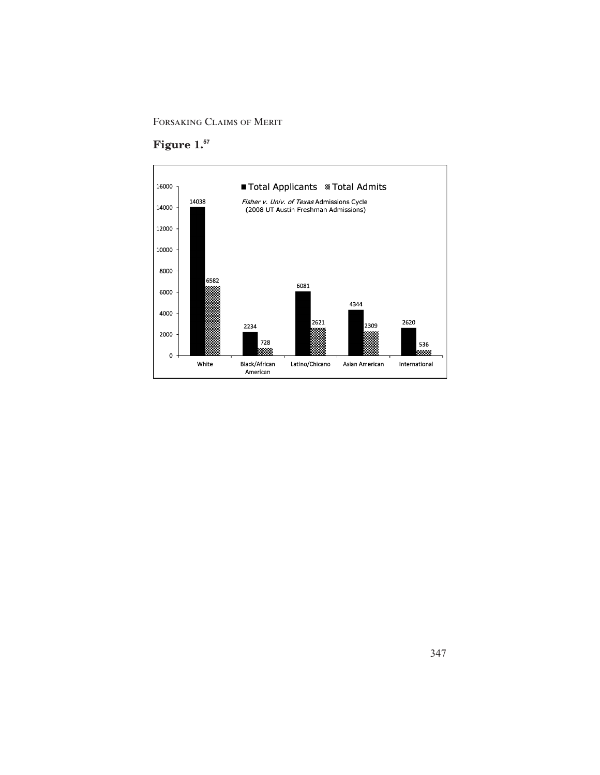Forsaking Claims of Merit

# **Figure 1.<sup>57</sup>**

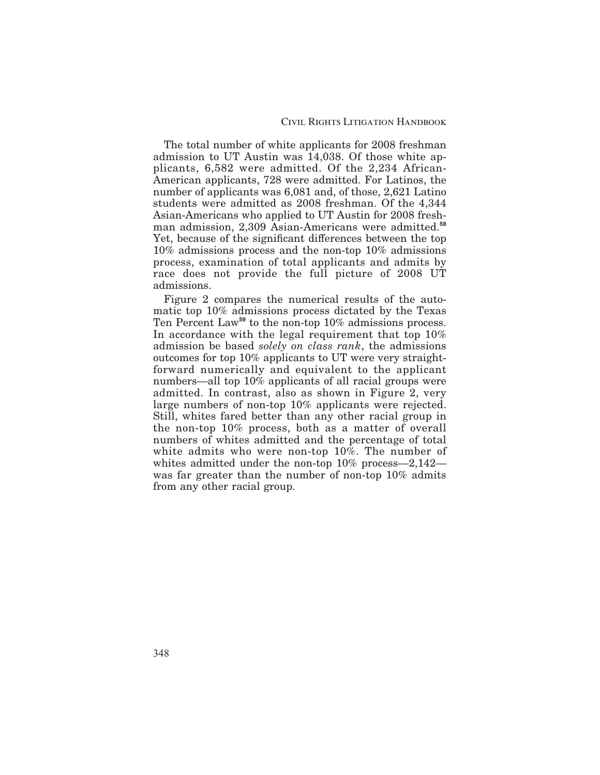The total number of white applicants for 2008 freshman admission to UT Austin was 14,038. Of those white applicants, 6,582 were admitted. Of the 2,234 African-American applicants, 728 were admitted. For Latinos, the number of applicants was 6,081 and, of those, 2,621 Latino students were admitted as 2008 freshman. Of the 4,344 Asian-Americans who applied to UT Austin for 2008 freshman admission, 2,309 Asian-Americans were admitted.**<sup>58</sup>** Yet, because of the significant differences between the top 10% admissions process and the non-top 10% admissions process, examination of total applicants and admits by race does not provide the full picture of 2008 UT admissions.

Figure 2 compares the numerical results of the automatic top 10% admissions process dictated by the Texas Ten Percent Law**<sup>59</sup>** to the non-top 10% admissions process. In accordance with the legal requirement that top 10% admission be based *solely on class rank*, the admissions outcomes for top 10% applicants to UT were very straightforward numerically and equivalent to the applicant numbers—all top 10% applicants of all racial groups were admitted. In contrast, also as shown in Figure 2, very large numbers of non-top 10% applicants were rejected. Still, whites fared better than any other racial group in the non-top 10% process, both as a matter of overall numbers of whites admitted and the percentage of total white admits who were non-top 10%. The number of whites admitted under the non-top 10% process—2,142 was far greater than the number of non-top 10% admits from any other racial group.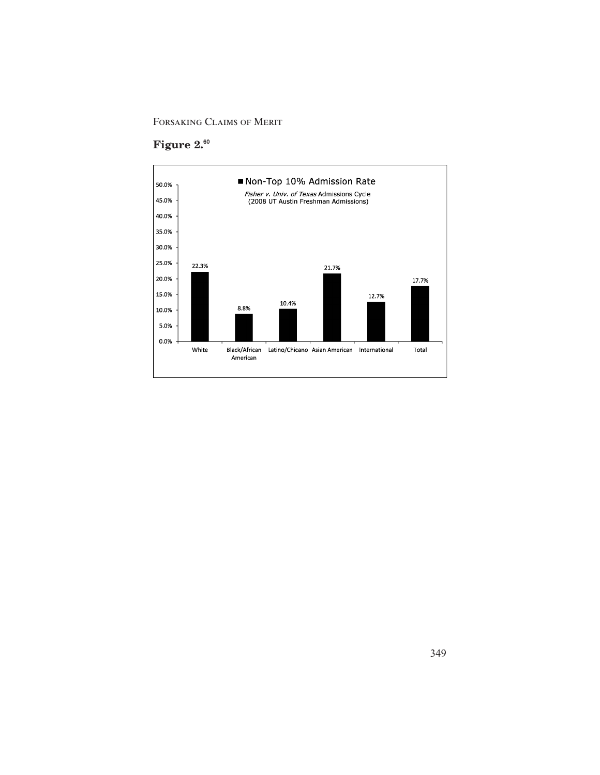# **Figure 2.<sup>60</sup>**

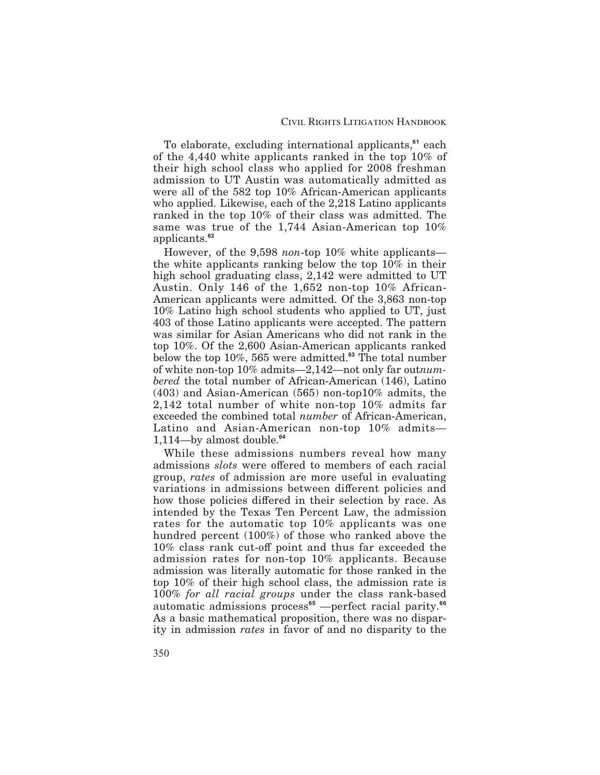To elaborate, excluding international applicants,**<sup>61</sup>** each of the 4,440 white applicants ranked in the top 10% of their high school class who applied for 2008 freshman admission to UT Austin was automatically admitted as were all of the 582 top 10% African-American applicants who applied. Likewise, each of the 2,218 Latino applicants ranked in the top 10% of their class was admitted. The same was true of the 1,744 Asian-American top 10% applicants.**<sup>62</sup>**

However, of the 9,598 *non*-top 10% white applicants the white applicants ranking below the top 10% in their high school graduating class, 2,142 were admitted to UT Austin. Only 146 of the 1,652 non-top 10% African-American applicants were admitted. Of the 3,863 non-top 10% Latino high school students who applied to UT, just 403 of those Latino applicants were accepted. The pattern was similar for Asian Americans who did not rank in the top 10%. Of the 2,600 Asian-American applicants ranked below the top 10%, 565 were admitted.**<sup>63</sup>** The total number of white non-top 10% admits—2,142—not only far out*numbered* the total number of African-American (146), Latino (403) and Asian-American (565) non-top10% admits, the 2,142 total number of white non-top 10% admits far exceeded the combined total *number* of African-American, Latino and Asian-American non-top 10% admits— 1,114—by almost double.**<sup>64</sup>**

While these admissions numbers reveal how many admissions *slots* were offered to members of each racial group, *rates* of admission are more useful in evaluating variations in admissions between different policies and how those policies differed in their selection by race. As intended by the Texas Ten Percent Law, the admission rates for the automatic top 10% applicants was one hundred percent (100%) of those who ranked above the 10% class rank cut-off point and thus far exceeded the admission rates for non-top 10% applicants. Because admission was literally automatic for those ranked in the top 10% of their high school class, the admission rate is 100% *for all racial groups* under the class rank-based automatic admissions process**<sup>65</sup>** —perfect racial parity.**<sup>66</sup>** As a basic mathematical proposition, there was no disparity in admission *rates* in favor of and no disparity to the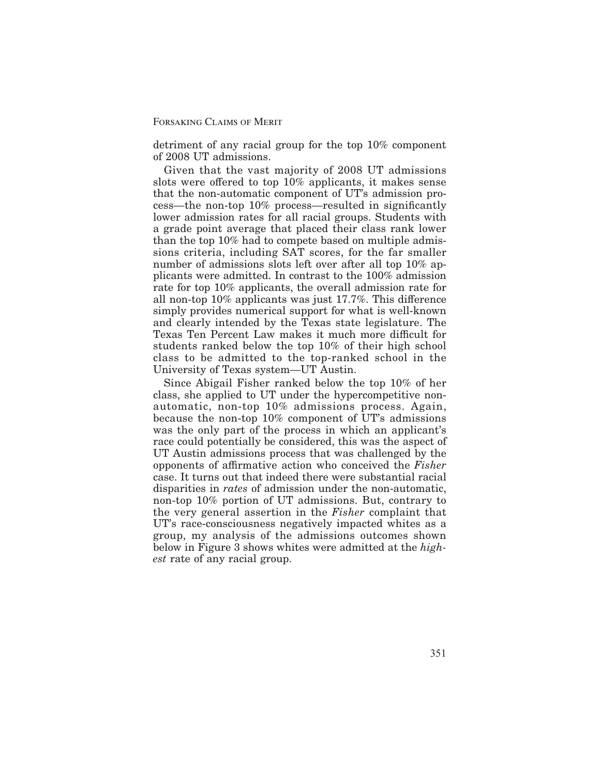detriment of any racial group for the top 10% component of 2008 UT admissions.

Given that the vast majority of 2008 UT admissions slots were offered to top  $10\%$  applicants, it makes sense that the non-automatic component of UT's admission process—the non-top 10% process—resulted in significantly lower admission rates for all racial groups. Students with a grade point average that placed their class rank lower than the top 10% had to compete based on multiple admissions criteria, including SAT scores, for the far smaller number of admissions slots left over after all top 10% applicants were admitted. In contrast to the 100% admission rate for top 10% applicants, the overall admission rate for all non-top  $10\%$  applicants was just  $17.7\%$ . This difference simply provides numerical support for what is well-known and clearly intended by the Texas state legislature. The Texas Ten Percent Law makes it much more difficult for students ranked below the top 10% of their high school class to be admitted to the top-ranked school in the University of Texas system—UT Austin.

Since Abigail Fisher ranked below the top 10% of her class, she applied to UT under the hypercompetitive nonautomatic, non-top 10% admissions process. Again, because the non-top 10% component of UT's admissions was the only part of the process in which an applicant's race could potentially be considered, this was the aspect of UT Austin admissions process that was challenged by the opponents of affirmative action who conceived the *Fisher* case. It turns out that indeed there were substantial racial disparities in *rates* of admission under the non-automatic, non-top 10% portion of UT admissions. But, contrary to the very general assertion in the *Fisher* complaint that UT's race-consciousness negatively impacted whites as a group, my analysis of the admissions outcomes shown below in Figure 3 shows whites were admitted at the *highest* rate of any racial group.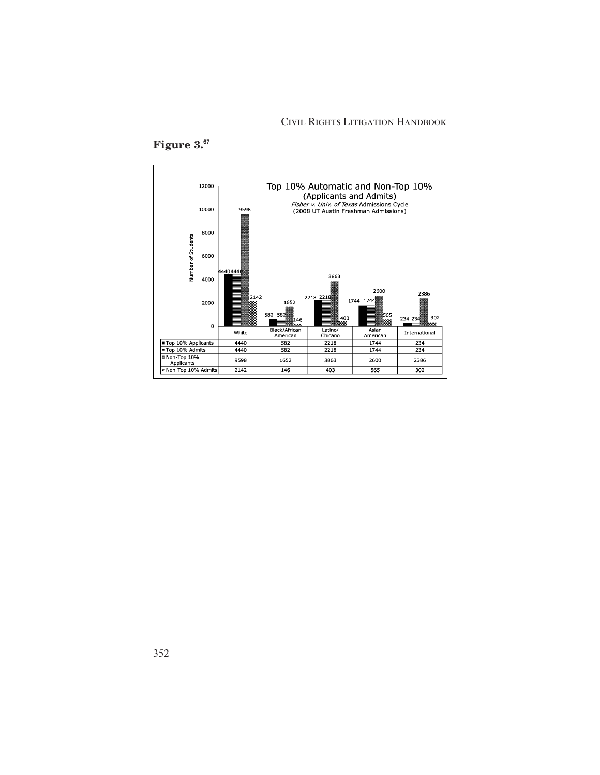## Civil Rights Litigation Handbook



# **Figure 3.<sup>67</sup>**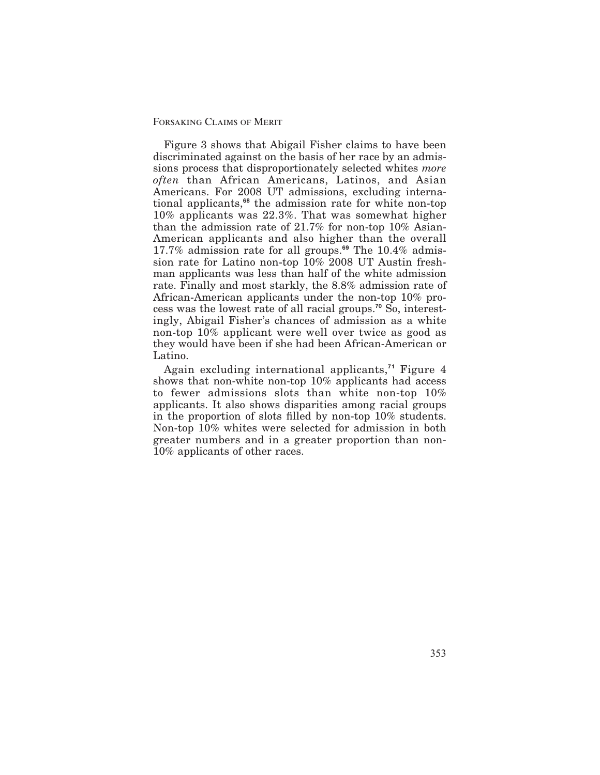Figure 3 shows that Abigail Fisher claims to have been discriminated against on the basis of her race by an admissions process that disproportionately selected whites *more often* than African Americans, Latinos, and Asian Americans. For 2008 UT admissions, excluding international applicants,**<sup>68</sup>** the admission rate for white non-top 10% applicants was 22.3%. That was somewhat higher than the admission rate of 21.7% for non-top 10% Asian-American applicants and also higher than the overall 17.7% admission rate for all groups.**<sup>69</sup>** The 10.4% admission rate for Latino non-top 10% 2008 UT Austin freshman applicants was less than half of the white admission rate. Finally and most starkly, the 8.8% admission rate of African-American applicants under the non-top 10% process was the lowest rate of all racial groups.**<sup>70</sup>** So, interestingly, Abigail Fisher's chances of admission as a white non-top 10% applicant were well over twice as good as they would have been if she had been African-American or Latino.

Again excluding international applicants,**<sup>71</sup>** Figure 4 shows that non-white non-top 10% applicants had access to fewer admissions slots than white non-top 10% applicants. It also shows disparities among racial groups in the proportion of slots filled by non-top  $10\%$  students. Non-top 10% whites were selected for admission in both greater numbers and in a greater proportion than non-10% applicants of other races.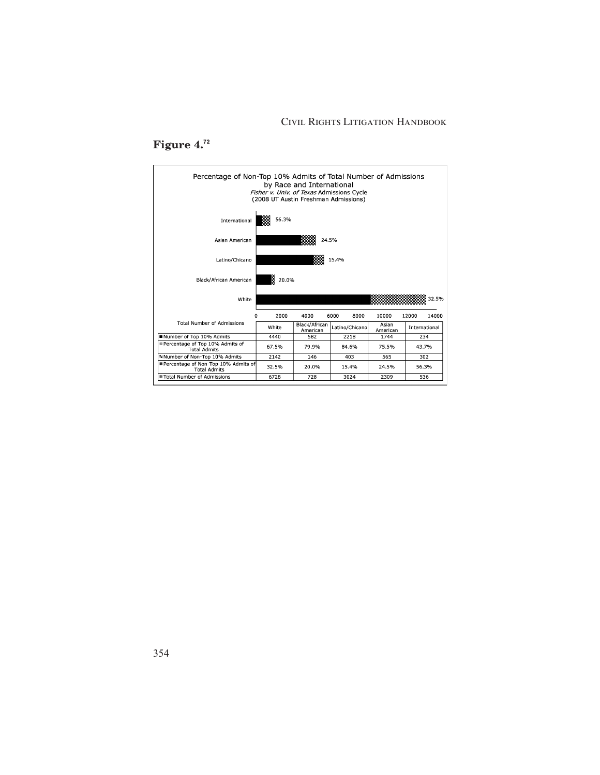## Civil Rights Litigation Handbook



# **Figure 4.<sup>72</sup>**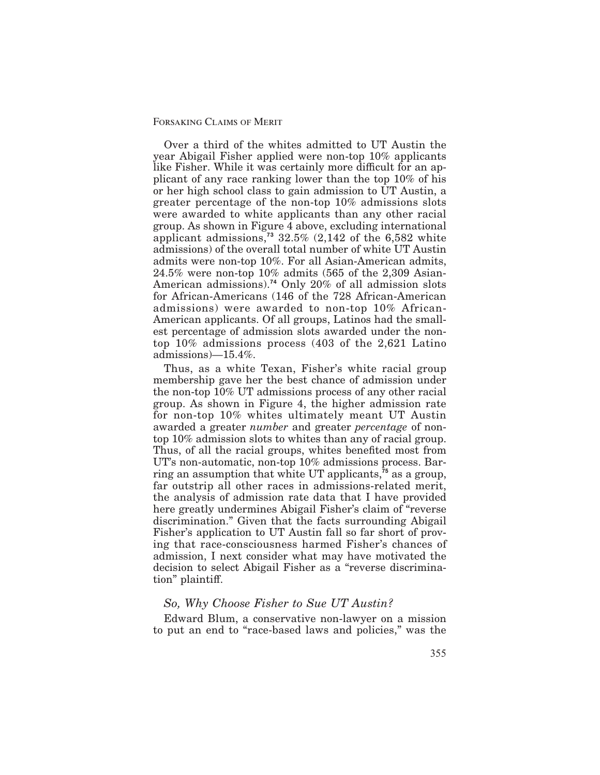Over a third of the whites admitted to UT Austin the year Abigail Fisher applied were non-top 10% applicants like Fisher. While it was certainly more difficult for an applicant of any race ranking lower than the top 10% of his or her high school class to gain admission to UT Austin, a greater percentage of the non-top 10% admissions slots were awarded to white applicants than any other racial group. As shown in Figure 4 above, excluding international applicant admissions,**<sup>73</sup>** 32.5% (2,142 of the 6,582 white admissions) of the overall total number of white UT Austin admits were non-top 10%. For all Asian-American admits, 24.5% were non-top 10% admits (565 of the 2,309 Asian-American admissions).**<sup>74</sup>** Only 20% of all admission slots for African-Americans (146 of the 728 African-American admissions) were awarded to non-top 10% African-American applicants. Of all groups, Latinos had the smallest percentage of admission slots awarded under the nontop 10% admissions process (403 of the 2,621 Latino admissions)—15.4%.

Thus, as a white Texan, Fisher's white racial group membership gave her the best chance of admission under the non-top 10% UT admissions process of any other racial group. As shown in Figure 4, the higher admission rate for non-top 10% whites ultimately meant UT Austin awarded a greater *number* and greater *percentage* of nontop 10% admission slots to whites than any of racial group. Thus, of all the racial groups, whites benefited most from UT's non-automatic, non-top 10% admissions process. Barring an assumption that white UT applicants,**<sup>75</sup>** as a group, far outstrip all other races in admissions-related merit, the analysis of admission rate data that I have provided here greatly undermines Abigail Fisher's claim of "reverse discrimination." Given that the facts surrounding Abigail Fisher's application to UT Austin fall so far short of proving that race-consciousness harmed Fisher's chances of admission, I next consider what may have motivated the decision to select Abigail Fisher as a "reverse discrimination" plaintiff.

## *So, Why Choose Fisher to Sue UT Austin?*

Edward Blum, a conservative non-lawyer on a mission to put an end to "race-based laws and policies," was the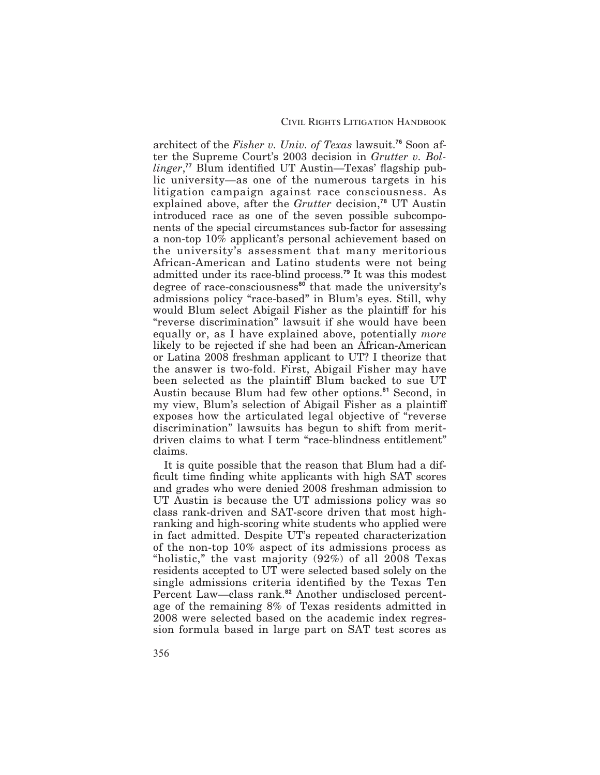architect of the *Fisher v. Univ. of Texas* lawsuit.**<sup>76</sup>** Soon after the Supreme Court's 2003 decision in *Grutter v. Bol*linger,<sup>77</sup> Blum identified UT Austin—Texas' flagship public university—as one of the numerous targets in his litigation campaign against race consciousness. As explained above, after the *Grutter* decision,**<sup>78</sup>** UT Austin introduced race as one of the seven possible subcomponents of the special circumstances sub-factor for assessing a non-top 10% applicant's personal achievement based on the university's assessment that many meritorious African-American and Latino students were not being admitted under its race-blind process.**<sup>79</sup>** It was this modest degree of race-consciousness**<sup>80</sup>** that made the university's admissions policy "race-based" in Blum's eyes. Still, why would Blum select Abigail Fisher as the plaintiff for his "reverse discrimination" lawsuit if she would have been equally or, as I have explained above, potentially *more* likely to be rejected if she had been an African-American or Latina 2008 freshman applicant to UT? I theorize that the answer is two-fold. First, Abigail Fisher may have been selected as the plaintiff Blum backed to sue UT Austin because Blum had few other options.**<sup>81</sup>** Second, in my view, Blum's selection of Abigail Fisher as a plainti exposes how the articulated legal objective of "reverse discrimination" lawsuits has begun to shift from meritdriven claims to what I term "race-blindness entitlement" claims.

It is quite possible that the reason that Blum had a dif ficult time finding white applicants with high SAT scores and grades who were denied 2008 freshman admission to UT Austin is because the UT admissions policy was so class rank-driven and SAT-score driven that most highranking and high-scoring white students who applied were in fact admitted. Despite UT's repeated characterization of the non-top 10% aspect of its admissions process as "holistic," the vast majority (92%) of all 2008 Texas residents accepted to UT were selected based solely on the single admissions criteria identified by the Texas Ten Percent Law—class rank.**<sup>82</sup>** Another undisclosed percentage of the remaining 8% of Texas residents admitted in 2008 were selected based on the academic index regression formula based in large part on SAT test scores as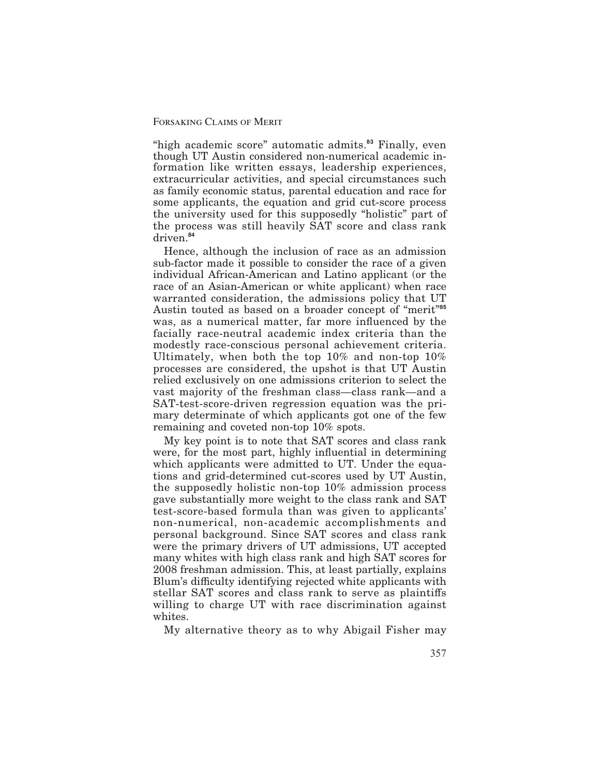"high academic score" automatic admits.**<sup>83</sup>** Finally, even though UT Austin considered non-numerical academic information like written essays, leadership experiences, extracurricular activities, and special circumstances such as family economic status, parental education and race for some applicants, the equation and grid cut-score process the university used for this supposedly "holistic" part of the process was still heavily SAT score and class rank driven.**<sup>84</sup>**

Hence, although the inclusion of race as an admission sub-factor made it possible to consider the race of a given individual African-American and Latino applicant (or the race of an Asian-American or white applicant) when race warranted consideration, the admissions policy that UT Austin touted as based on a broader concept of "merit"**<sup>85</sup>** was, as a numerical matter, far more influenced by the facially race-neutral academic index criteria than the modestly race-conscious personal achievement criteria. Ultimately, when both the top 10% and non-top 10% processes are considered, the upshot is that UT Austin relied exclusively on one admissions criterion to select the vast majority of the freshman class—class rank—and a SAT-test-score-driven regression equation was the primary determinate of which applicants got one of the few remaining and coveted non-top 10% spots.

My key point is to note that SAT scores and class rank were, for the most part, highly influential in determining which applicants were admitted to UT. Under the equations and grid-determined cut-scores used by UT Austin, the supposedly holistic non-top 10% admission process gave substantially more weight to the class rank and SAT test-score-based formula than was given to applicants' non-numerical, non-academic accomplishments and personal background. Since SAT scores and class rank were the primary drivers of UT admissions, UT accepted many whites with high class rank and high SAT scores for 2008 freshman admission. This, at least partially, explains Blum's difficulty identifying rejected white applicants with stellar SAT scores and class rank to serve as plaintiffs willing to charge UT with race discrimination against whites.

My alternative theory as to why Abigail Fisher may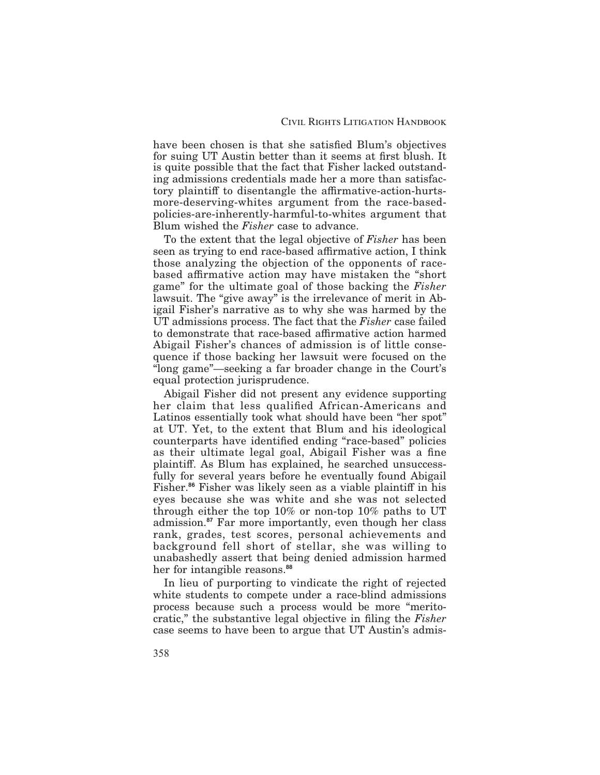have been chosen is that she satisfied Blum's objectives for suing UT Austin better than it seems at first blush. It is quite possible that the fact that Fisher lacked outstanding admissions credentials made her a more than satisfactory plaintiff to disentangle the affirmative-action-hurtsmore-deserving-whites argument from the race-basedpolicies-are-inherently-harmful-to-whites argument that Blum wished the *Fisher* case to advance.

To the extent that the legal objective of *Fisher* has been seen as trying to end race-based affirmative action, I think those analyzing the objection of the opponents of racebased affirmative action may have mistaken the "short game" for the ultimate goal of those backing the *Fisher* lawsuit. The "give away" is the irrelevance of merit in Abigail Fisher's narrative as to why she was harmed by the UT admissions process. The fact that the *Fisher* case failed to demonstrate that race-based affirmative action harmed Abigail Fisher's chances of admission is of little consequence if those backing her lawsuit were focused on the "long game"—seeking a far broader change in the Court's equal protection jurisprudence.

Abigail Fisher did not present any evidence supporting her claim that less qualified African-Americans and Latinos essentially took what should have been "her spot" at UT. Yet, to the extent that Blum and his ideological counterparts have identified ending "race-based" policies as their ultimate legal goal, Abigail Fisher was a fine plaintiff. As Blum has explained, he searched unsuccessfully for several years before he eventually found Abigail Fisher.<sup>86</sup> Fisher was likely seen as a viable plaintiff in his eyes because she was white and she was not selected through either the top 10% or non-top 10% paths to UT admission.**<sup>87</sup>** Far more importantly, even though her class rank, grades, test scores, personal achievements and background fell short of stellar, she was willing to unabashedly assert that being denied admission harmed her for intangible reasons.**<sup>88</sup>**

In lieu of purporting to vindicate the right of rejected white students to compete under a race-blind admissions process because such a process would be more "meritocratic," the substantive legal objective in filing the *Fisher* case seems to have been to argue that UT Austin's admis-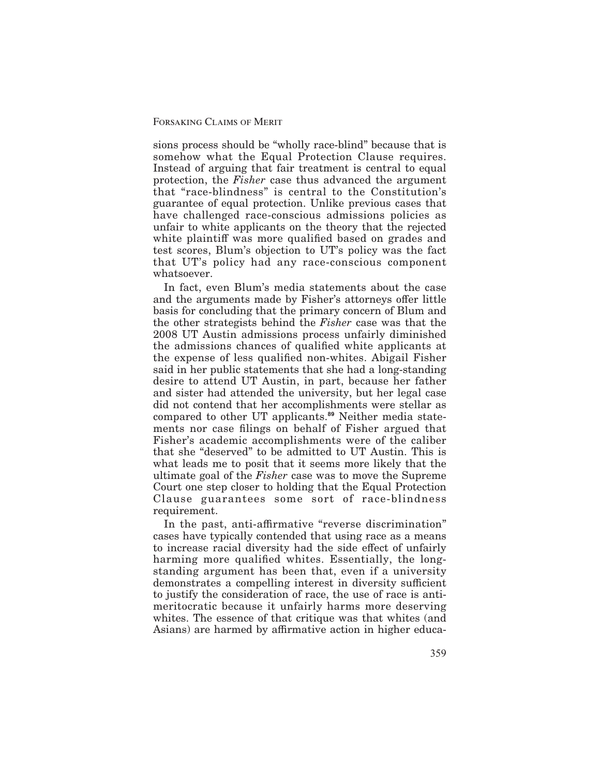sions process should be "wholly race-blind" because that is somehow what the Equal Protection Clause requires. Instead of arguing that fair treatment is central to equal protection, the *Fisher* case thus advanced the argument that "race-blindness" is central to the Constitution's guarantee of equal protection. Unlike previous cases that have challenged race-conscious admissions policies as unfair to white applicants on the theory that the rejected white plaintiff was more qualified based on grades and test scores, Blum's objection to UT's policy was the fact that UT's policy had any race-conscious component whatsoever.

In fact, even Blum's media statements about the case and the arguments made by Fisher's attorneys offer little basis for concluding that the primary concern of Blum and the other strategists behind the *Fisher* case was that the 2008 UT Austin admissions process unfairly diminished the admissions chances of qualified white applicants at the expense of less qualified non-whites. Abigail Fisher said in her public statements that she had a long-standing desire to attend UT Austin, in part, because her father and sister had attended the university, but her legal case did not contend that her accomplishments were stellar as compared to other UT applicants.**<sup>89</sup>** Neither media statements nor case filings on behalf of Fisher argued that Fisher's academic accomplishments were of the caliber that she "deserved" to be admitted to UT Austin. This is what leads me to posit that it seems more likely that the ultimate goal of the *Fisher* case was to move the Supreme Court one step closer to holding that the Equal Protection Clause guarantees some sort of race-blindness requirement.

In the past, anti-affirmative "reverse discrimination" cases have typically contended that using race as a means to increase racial diversity had the side effect of unfairly harming more qualified whites. Essentially, the longstanding argument has been that, even if a university demonstrates a compelling interest in diversity sufficient to justify the consideration of race, the use of race is antimeritocratic because it unfairly harms more deserving whites. The essence of that critique was that whites (and Asians) are harmed by affirmative action in higher educa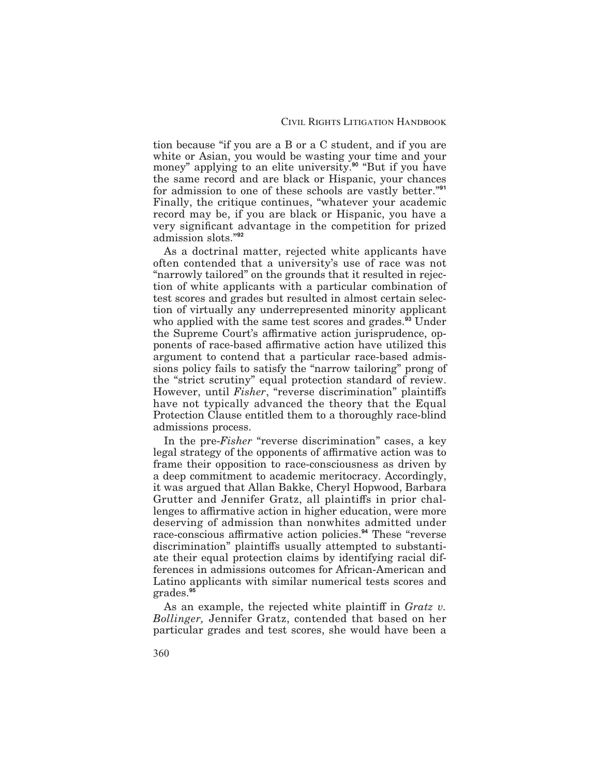tion because "if you are a B or a C student, and if you are white or Asian, you would be wasting your time and your money" applying to an elite university.**<sup>90</sup>** "But if you have the same record and are black or Hispanic, your chances for admission to one of these schools are vastly better."**<sup>91</sup>** Finally, the critique continues, "whatever your academic record may be, if you are black or Hispanic, you have a very significant advantage in the competition for prized admission slots."**<sup>92</sup>**

As a doctrinal matter, rejected white applicants have often contended that a university's use of race was not "narrowly tailored" on the grounds that it resulted in rejection of white applicants with a particular combination of test scores and grades but resulted in almost certain selection of virtually any underrepresented minority applicant who applied with the same test scores and grades.**<sup>93</sup>** Under the Supreme Court's affirmative action jurisprudence, opponents of race-based affirmative action have utilized this argument to contend that a particular race-based admissions policy fails to satisfy the "narrow tailoring" prong of the "strict scrutiny" equal protection standard of review. However, until *Fisher*, "reverse discrimination" plaintiffs have not typically advanced the theory that the Equal Protection Clause entitled them to a thoroughly race-blind admissions process.

In the pre-*Fisher* "reverse discrimination" cases, a key legal strategy of the opponents of affirmative action was to frame their opposition to race-consciousness as driven by a deep commitment to academic meritocracy. Accordingly, it was argued that Allan Bakke, Cheryl Hopwood, Barbara Grutter and Jennifer Gratz, all plaintiffs in prior challenges to affirmative action in higher education, were more deserving of admission than nonwhites admitted under race-conscious affirmative action policies.<sup>94</sup> These "reverse" discrimination" plaintiffs usually attempted to substantiate their equal protection claims by identifying racial differences in admissions outcomes for African-American and Latino applicants with similar numerical tests scores and grades.**<sup>95</sup>**

As an example, the rejected white plaintiff in *Gratz v*. *Bollinger,* Jennifer Gratz, contended that based on her particular grades and test scores, she would have been a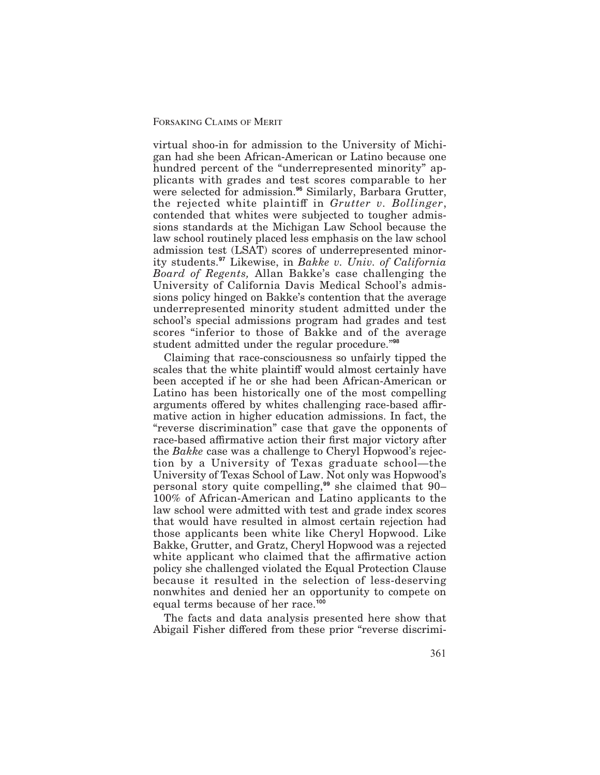virtual shoo-in for admission to the University of Michigan had she been African-American or Latino because one hundred percent of the "underrepresented minority" applicants with grades and test scores comparable to her were selected for admission.**<sup>96</sup>** Similarly, Barbara Grutter, the rejected white plaintiff in *Grutter v. Bollinger*, contended that whites were subjected to tougher admissions standards at the Michigan Law School because the law school routinely placed less emphasis on the law school admission test (LSAT) scores of underrepresented minority students.**<sup>97</sup>** Likewise, in *Bakke v. Univ. of California Board of Regents,* Allan Bakke's case challenging the University of California Davis Medical School's admissions policy hinged on Bakke's contention that the average underrepresented minority student admitted under the school's special admissions program had grades and test scores "inferior to those of Bakke and of the average student admitted under the regular procedure."**<sup>98</sup>**

Claiming that race-consciousness so unfairly tipped the scales that the white plaintiff would almost certainly have been accepted if he or she had been African-American or Latino has been historically one of the most compelling arguments offered by whites challenging race-based affirmative action in higher education admissions. In fact, the "reverse discrimination" case that gave the opponents of race-based affirmative action their first major victory after the *Bakke* case was a challenge to Cheryl Hopwood's rejection by a University of Texas graduate school—the University of Texas School of Law. Not only was Hopwood's personal story quite compelling,**<sup>99</sup>** she claimed that 90– 100% of African-American and Latino applicants to the law school were admitted with test and grade index scores that would have resulted in almost certain rejection had those applicants been white like Cheryl Hopwood. Like Bakke, Grutter, and Gratz, Cheryl Hopwood was a rejected white applicant who claimed that the affirmative action policy she challenged violated the Equal Protection Clause because it resulted in the selection of less-deserving nonwhites and denied her an opportunity to compete on equal terms because of her race.**<sup>100</sup>**

The facts and data analysis presented here show that Abigail Fisher differed from these prior "reverse discrimi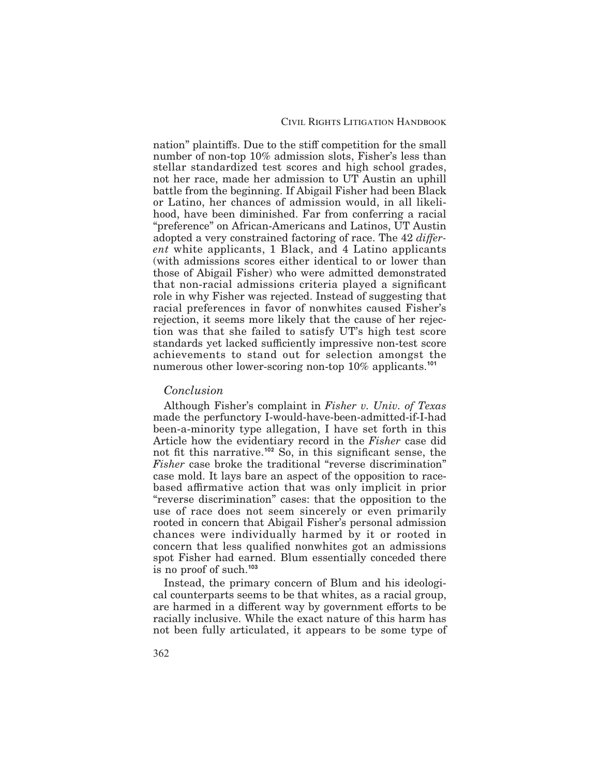nation" plaintiffs. Due to the stiff competition for the small number of non-top 10% admission slots, Fisher's less than stellar standardized test scores and high school grades, not her race, made her admission to UT Austin an uphill battle from the beginning. If Abigail Fisher had been Black or Latino, her chances of admission would, in all likelihood, have been diminished. Far from conferring a racial "preference" on African-Americans and Latinos, UT Austin adopted a very constrained factoring of race. The 42 *different* white applicants, 1 Black, and 4 Latino applicants (with admissions scores either identical to or lower than those of Abigail Fisher) who were admitted demonstrated that non-racial admissions criteria played a significant role in why Fisher was rejected. Instead of suggesting that racial preferences in favor of nonwhites caused Fisher's rejection, it seems more likely that the cause of her rejection was that she failed to satisfy UT's high test score standards yet lacked sufficiently impressive non-test score achievements to stand out for selection amongst the numerous other lower-scoring non-top 10% applicants.**<sup>101</sup>**

## *Conclusion*

Although Fisher's complaint in *Fisher v. Univ. of Texas* made the perfunctory I-would-have-been-admitted-if-I-had been-a-minority type allegation, I have set forth in this Article how the evidentiary record in the *Fisher* case did not fit this narrative.<sup>102</sup> So, in this significant sense, the *Fisher* case broke the traditional "reverse discrimination" case mold. It lays bare an aspect of the opposition to racebased affirmative action that was only implicit in prior "reverse discrimination" cases: that the opposition to the use of race does not seem sincerely or even primarily rooted in concern that Abigail Fisher's personal admission chances were individually harmed by it or rooted in concern that less qualified nonwhites got an admissions spot Fisher had earned. Blum essentially conceded there is no proof of such.**<sup>103</sup>**

Instead, the primary concern of Blum and his ideological counterparts seems to be that whites, as a racial group, are harmed in a different way by government efforts to be racially inclusive. While the exact nature of this harm has not been fully articulated, it appears to be some type of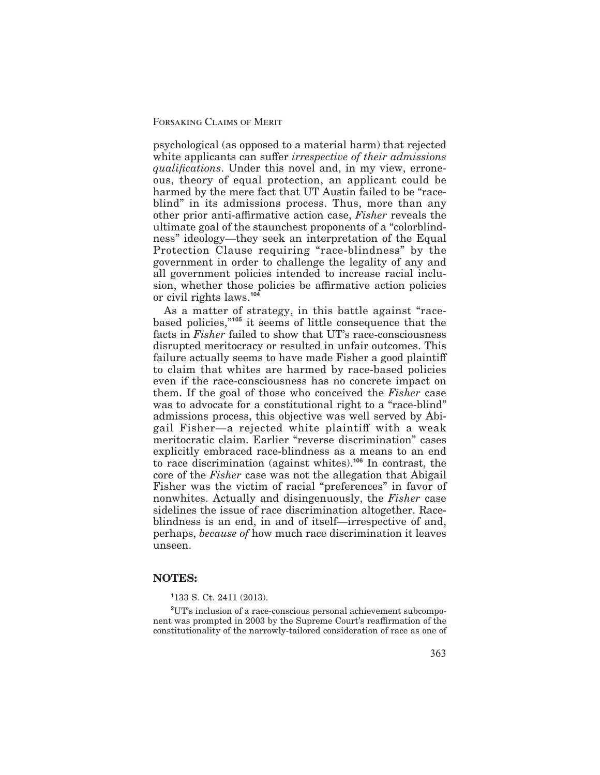psychological (as opposed to a material harm) that rejected white applicants can suffer *irrespective of their admissions qualifications*. Under this novel and, in my view, erroneous, theory of equal protection, an applicant could be harmed by the mere fact that UT Austin failed to be "raceblind" in its admissions process. Thus, more than any other prior anti-affirmative action case, *Fisher* reveals the ultimate goal of the staunchest proponents of a "colorblindness" ideology—they seek an interpretation of the Equal Protection Clause requiring "race-blindness" by the government in order to challenge the legality of any and all government policies intended to increase racial inclusion, whether those policies be affirmative action policies or civil rights laws.**<sup>104</sup>**

As a matter of strategy, in this battle against "racebased policies,"**<sup>105</sup>** it seems of little consequence that the facts in *Fisher* failed to show that UT's race-consciousness disrupted meritocracy or resulted in unfair outcomes. This failure actually seems to have made Fisher a good plaintiff to claim that whites are harmed by race-based policies even if the race-consciousness has no concrete impact on them. If the goal of those who conceived the *Fisher* case was to advocate for a constitutional right to a "race-blind" admissions process, this objective was well served by Abigail Fisher—a rejected white plaintiff with a weak meritocratic claim. Earlier "reverse discrimination" cases explicitly embraced race-blindness as a means to an end to race discrimination (against whites).**<sup>106</sup>** In contrast, the core of the *Fisher* case was not the allegation that Abigail Fisher was the victim of racial "preferences" in favor of nonwhites. Actually and disingenuously, the *Fisher* case sidelines the issue of race discrimination altogether. Raceblindness is an end, in and of itself—irrespective of and, perhaps, *because of* how much race discrimination it leaves unseen.

## **NOTES:**

## **1** 133 S. Ct. 2411 (2013).

**2** UT's inclusion of a race-conscious personal achievement subcomponent was prompted in 2003 by the Supreme Court's reaffirmation of the constitutionality of the narrowly-tailored consideration of race as one of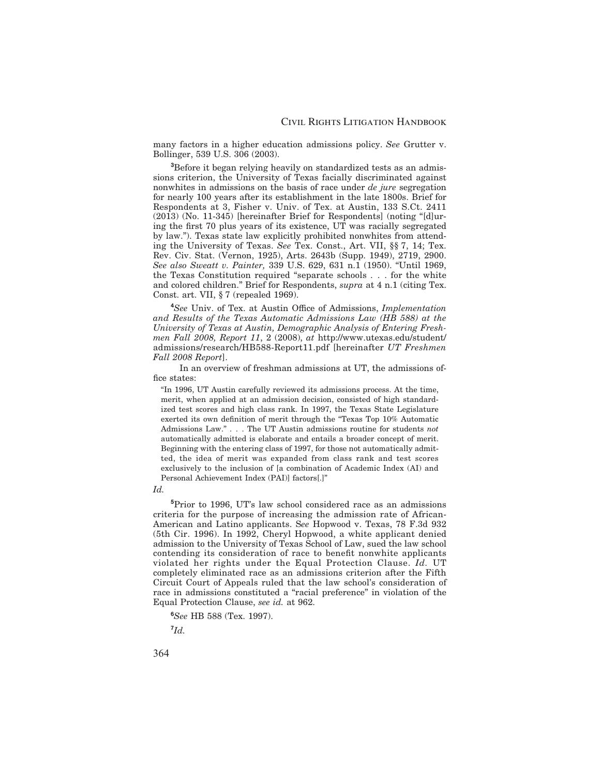many factors in a higher education admissions policy. *See* Grutter v. Bollinger, 539 U.S. 306 (2003).

**3** Before it began relying heavily on standardized tests as an admissions criterion, the University of Texas facially discriminated against nonwhites in admissions on the basis of race under *de jure* segregation for nearly 100 years after its establishment in the late 1800s. Brief for Respondents at 3, Fisher v. Univ. of Tex. at Austin, 133 S.Ct. 2411 (2013) (No. 11-345) [hereinafter Brief for Respondents] (noting "[d]uring the first 70 plus years of its existence, UT was racially segregated by law."). Texas state law explicitly prohibited nonwhites from attending the University of Texas. *See* Tex. Const., Art. VII, §§ 7, 14; Tex. Rev. Civ. Stat. (Vernon, 1925), Arts. 2643b (Supp. 1949), 2719, 2900. *See also Sweatt v. Painter,* 339 U.S. 629, 631 n.1 (1950). "Until 1969, the Texas Constitution required "separate schools . . . for the white and colored children." Brief for Respondents, *supra* at 4 n.1 (citing Tex. Const. art. VII, § 7 (repealed 1969).

**4** *See* Univ. of Tex. at Austin Oce of Admissions, *Implementation and Results of the Texas Automatic Admissions Law (HB 588) at the University of Texas at Austin, Demographic Analysis of Entering Freshmen Fall 2008, Report 11*, 2 (2008), *at* http://www.utexas.edu/student/ admissions/research/HB588-Report11.pdf [hereinafter *UT Freshmen Fall 2008 Report*].

In an overview of freshman admissions at UT, the admissions of fice states:

"In 1996, UT Austin carefully reviewed its admissions process. At the time, merit, when applied at an admission decision, consisted of high standardized test scores and high class rank. In 1997, the Texas State Legislature exerted its own definition of merit through the "Texas Top 10% Automatic Admissions Law." . . . The UT Austin admissions routine for students *not* automatically admitted is elaborate and entails a broader concept of merit. Beginning with the entering class of 1997, for those not automatically admitted, the idea of merit was expanded from class rank and test scores exclusively to the inclusion of [a combination of Academic Index (AI) and Personal Achievement Index (PAI)] factors[.]"

*Id.*

**5** Prior to 1996, UT's law school considered race as an admissions criteria for the purpose of increasing the admission rate of African-American and Latino applicants. S*ee* Hopwood v. Texas, 78 F.3d 932 (5th Cir. 1996). In 1992, Cheryl Hopwood, a white applicant denied admission to the University of Texas School of Law, sued the law school contending its consideration of race to benefit nonwhite applicants violated her rights under the Equal Protection Clause. *Id.* UT completely eliminated race as an admissions criterion after the Fifth Circuit Court of Appeals ruled that the law school's consideration of race in admissions constituted a "racial preference" in violation of the Equal Protection Clause, *see id.* at 962.

**6** *See* HB 588 (Tex. 1997).

**7** *Id.*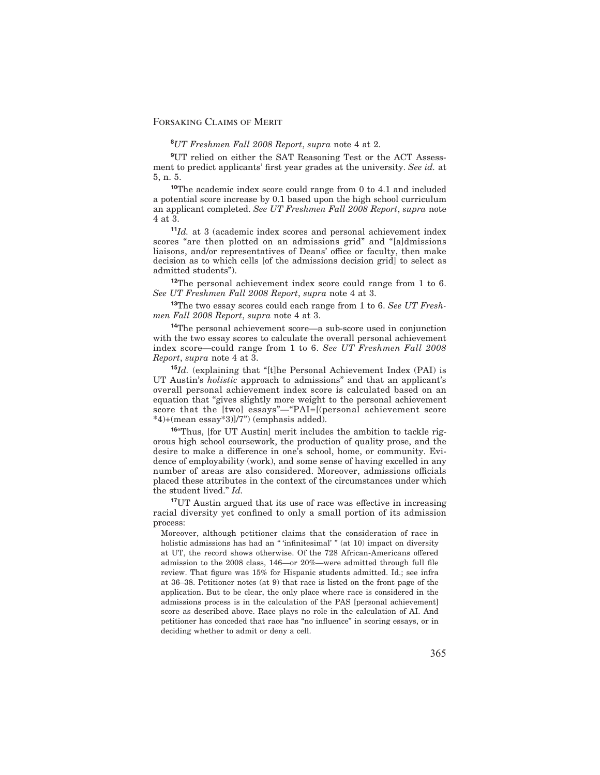## **8** *UT Freshmen Fall 2008 Report*, *supra* note 4 at 2.

**9** UT relied on either the SAT Reasoning Test or the ACT Assessment to predict applicants' first year grades at the university. See id. at 5, n. 5.

**<sup>10</sup>**The academic index score could range from 0 to 4.1 and included a potential score increase by 0.1 based upon the high school curriculum an applicant completed. *See UT Freshmen Fall 2008 Report*, *supra* note 4 at 3.

**<sup>11</sup>***Id.* at 3 (academic index scores and personal achievement index scores "are then plotted on an admissions grid" and "[a]dmissions liaisons, and/or representatives of Deans' office or faculty, then make decision as to which cells [of the admissions decision grid] to select as admitted students").

**<sup>12</sup>**The personal achievement index score could range from 1 to 6. *See UT Freshmen Fall 2008 Report*, *supra* note 4 at 3.

**<sup>13</sup>**The two essay scores could each range from 1 to 6. *See UT Freshmen Fall 2008 Report*, *supra* note 4 at 3.

**<sup>14</sup>**The personal achievement score—a sub-score used in conjunction with the two essay scores to calculate the overall personal achievement index score—could range from 1 to 6. *See UT Freshmen Fall 2008 Report*, *supra* note 4 at 3.

**<sup>15</sup>***Id.* (explaining that "[t]he Personal Achievement Index (PAI) is UT Austin's *holistic* approach to admissions" and that an applicant's overall personal achievement index score is calculated based on an equation that "gives slightly more weight to the personal achievement score that the [two] essays"—"PAI=[(personal achievement score \*4)+(mean essay\*3)]/7") (emphasis added).

**<sup>16</sup>**"Thus, [for UT Austin] merit includes the ambition to tackle rigorous high school coursework, the production of quality prose, and the desire to make a difference in one's school, home, or community. Evidence of employability (work), and some sense of having excelled in any number of areas are also considered. Moreover, admissions officials placed these attributes in the context of the circumstances under which the student lived." *Id.*

<sup>17</sup>UT Austin argued that its use of race was effective in increasing racial diversity yet confined to only a small portion of its admission process:

Moreover, although petitioner claims that the consideration of race in holistic admissions has had an "'infinitesimal' " (at 10) impact on diversity at UT, the record shows otherwise. Of the 728 African-Americans offered admission to the 2008 class, 146—or 20%—were admitted through full file review. That figure was 15% for Hispanic students admitted. Id.; see infra at 36–38. Petitioner notes (at 9) that race is listed on the front page of the application. But to be clear, the only place where race is considered in the admissions process is in the calculation of the PAS [personal achievement] score as described above. Race plays no role in the calculation of AI. And petitioner has conceded that race has "no influence" in scoring essays, or in deciding whether to admit or deny a cell.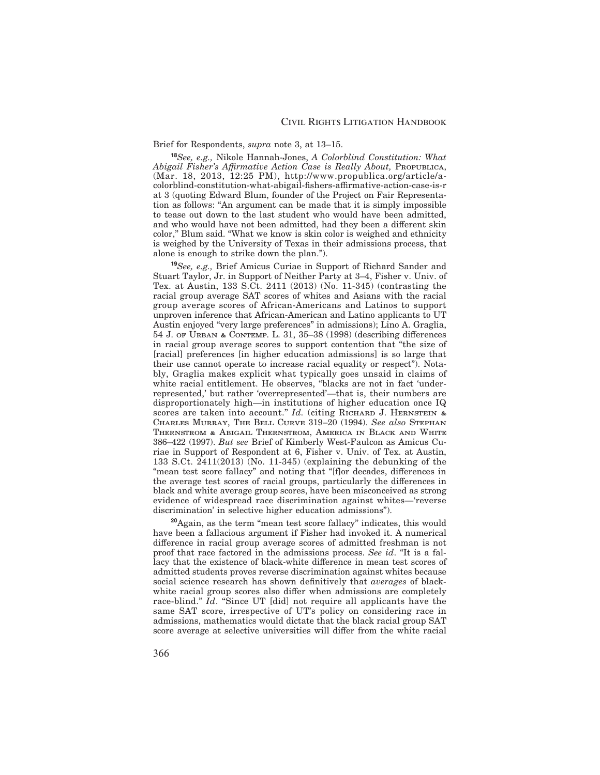#### Brief for Respondents, *supra* note 3, at 13–15.

**<sup>18</sup>***See, e.g.,* Nikole Hannah-Jones, *A Colorblind Constitution: What Abigail Fisher's A-rmative Action Case is Really About,* Propublica, (Mar. 18, 2013, 12:25 PM), http://www.propublica.org/article/acolorblind-constitution-what-abigail-fishers-affirmative-action-case-is-r at 3 (quoting Edward Blum, founder of the Project on Fair Representation as follows: "An argument can be made that it is simply impossible to tease out down to the last student who would have been admitted, and who would have not been admitted, had they been a different skin color," Blum said. "What we know is skin color is weighed and ethnicity is weighed by the University of Texas in their admissions process, that alone is enough to strike down the plan.").

**<sup>19</sup>***See, e.g.,* Brief Amicus Curiae in Support of Richard Sander and Stuart Taylor, Jr. in Support of Neither Party at 3–4, Fisher v. Univ. of Tex. at Austin, 133 S.Ct. 2411 (2013) (No. 11-345) (contrasting the racial group average SAT scores of whites and Asians with the racial group average scores of African-Americans and Latinos to support unproven inference that African-American and Latino applicants to UT Austin enjoyed "very large preferences" in admissions); Lino A. Graglia, 54 J. of Urban & Contemp. L. 31, 35–38 (1998) (describing dierences in racial group average scores to support contention that "the size of [racial] preferences [in higher education admissions] is so large that their use cannot operate to increase racial equality or respect"). Notably, Graglia makes explicit what typically goes unsaid in claims of white racial entitlement. He observes, "blacks are not in fact 'underrepresented,' but rather 'overrepresented'—that is, their numbers are disproportionately high—in institutions of higher education once IQ scores are taken into account." *Id.* (citing RICHARD J. HERNSTEIN & Charles Murray, The Bell Curve 319–20 (1994). *See also* Stephan Thernstrom & Abigail Thernstrom, America in Black and White 386–422 (1997). *But see* Brief of Kimberly West-Faulcon as Amicus Curiae in Support of Respondent at 6, Fisher v. Univ. of Tex. at Austin, 133 S.Ct. 2411(2013) (No. 11-345) (explaining the debunking of the "mean test score fallacy" and noting that "[f]or decades, differences in the average test scores of racial groups, particularly the differences in black and white average group scores, have been misconceived as strong evidence of widespread race discrimination against whites—'reverse discrimination' in selective higher education admissions").

**<sup>20</sup>**Again, as the term "mean test score fallacy" indicates, this would have been a fallacious argument if Fisher had invoked it. A numerical difference in racial group average scores of admitted freshman is not proof that race factored in the admissions process. *See id*. "It is a fallacy that the existence of black-white difference in mean test scores of admitted students proves reverse discrimination against whites because social science research has shown definitively that *averages* of blackwhite racial group scores also differ when admissions are completely race-blind." *Id*. "Since UT [did] not require all applicants have the same SAT score, irrespective of UT's policy on considering race in admissions, mathematics would dictate that the black racial group SAT score average at selective universities will differ from the white racial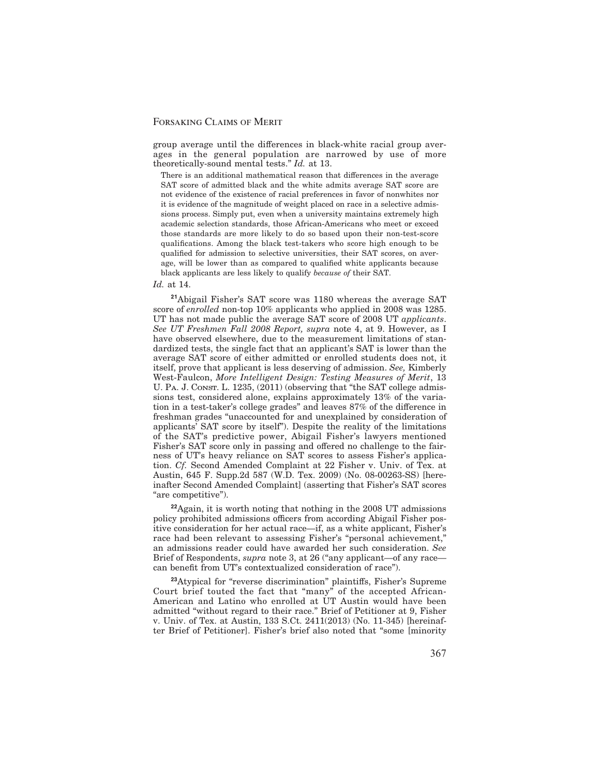group average until the differences in black-white racial group averages in the general population are narrowed by use of more theoretically-sound mental tests." *Id.* at 13.

There is an additional mathematical reason that differences in the average SAT score of admitted black and the white admits average SAT score are not evidence of the existence of racial preferences in favor of nonwhites nor it is evidence of the magnitude of weight placed on race in a selective admissions process. Simply put, even when a university maintains extremely high academic selection standards, those African-Americans who meet or exceed those standards are more likely to do so based upon their non-test-score qualifications. Among the black test-takers who score high enough to be qualified for admission to selective universities, their SAT scores, on average, will be lower than as compared to qualified white applicants because black applicants are less likely to qualify *because of* their SAT.

*Id.* at 14.

**<sup>21</sup>**Abigail Fisher's SAT score was 1180 whereas the average SAT score of *enrolled* non-top 10% applicants who applied in 2008 was 1285. UT has not made public the average SAT score of 2008 UT *applicants*. *See UT Freshmen Fall 2008 Report, supra* note 4, at 9. However, as I have observed elsewhere, due to the measurement limitations of standardized tests, the single fact that an applicant's SAT is lower than the average SAT score of either admitted or enrolled students does not, it itself, prove that applicant is less deserving of admission. *See,* Kimberly West-Faulcon, *More Intelligent Design: Testing Measures of Merit*, 13 U. PA. J. CONST. L. 1235, (2011) (observing that "the SAT college admissions test, considered alone, explains approximately 13% of the variation in a test-taker's college grades" and leaves 87% of the difference in freshman grades "unaccounted for and unexplained by consideration of applicants' SAT score by itself"). Despite the reality of the limitations of the SAT's predictive power, Abigail Fisher's lawyers mentioned Fisher's SAT score only in passing and offered no challenge to the fairness of UT's heavy reliance on SAT scores to assess Fisher's application. *Cf.* Second Amended Complaint at 22 Fisher v. Univ. of Tex. at Austin, 645 F. Supp.2d 587 (W.D. Tex. 2009) (No. 08-00263-SS) [hereinafter Second Amended Complaint] (asserting that Fisher's SAT scores "are competitive").

**<sup>22</sup>**Again, it is worth noting that nothing in the 2008 UT admissions policy prohibited admissions officers from according Abigail Fisher positive consideration for her actual race—if, as a white applicant, Fisher's race had been relevant to assessing Fisher's "personal achievement," an admissions reader could have awarded her such consideration. *See* Brief of Respondents, *supra* note 3, at 26 ("any applicant—of any race can benefit from UT's contextualized consideration of race").

<sup>23</sup>Atypical for "reverse discrimination" plaintiffs, Fisher's Supreme Court brief touted the fact that "many" of the accepted African-American and Latino who enrolled at UT Austin would have been admitted "without regard to their race." Brief of Petitioner at 9, Fisher v. Univ. of Tex. at Austin, 133 S.Ct. 2411(2013) (No. 11-345) [hereinafter Brief of Petitioner]. Fisher's brief also noted that "some [minority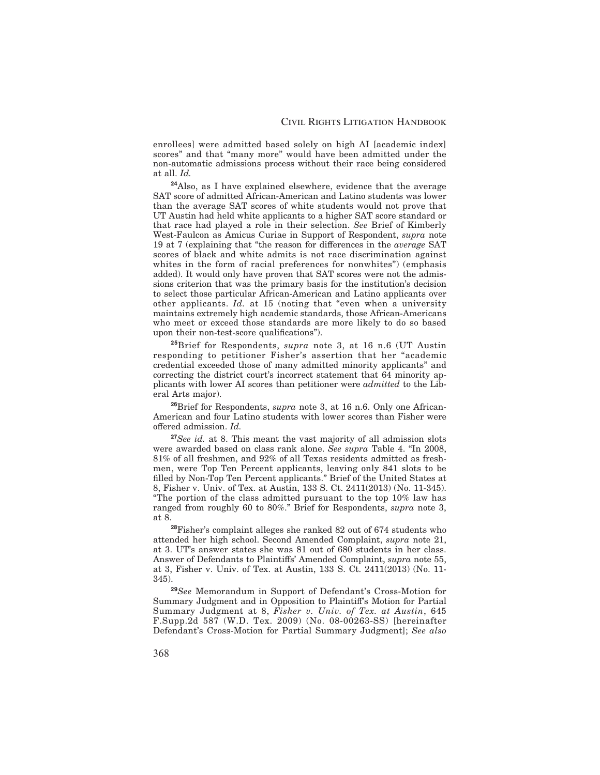enrollees] were admitted based solely on high AI [academic index] scores" and that "many more" would have been admitted under the non-automatic admissions process without their race being considered at all. *Id.*

**<sup>24</sup>**Also, as I have explained elsewhere, evidence that the average SAT score of admitted African-American and Latino students was lower than the average SAT scores of white students would not prove that UT Austin had held white applicants to a higher SAT score standard or that race had played a role in their selection. *See* Brief of Kimberly West-Faulcon as Amicus Curiae in Support of Respondent, *supra* note 19 at 7 (explaining that "the reason for differences in the *average* SAT scores of black and white admits is not race discrimination against whites in the form of racial preferences for nonwhites") (emphasis added). It would only have proven that SAT scores were not the admissions criterion that was the primary basis for the institution's decision to select those particular African-American and Latino applicants over other applicants. *Id.* at 15 (noting that "even when a university maintains extremely high academic standards, those African-Americans who meet or exceed those standards are more likely to do so based upon their non-test-score qualifications").

**<sup>25</sup>**Brief for Respondents, *supra* note 3, at 16 n.6 (UT Austin responding to petitioner Fisher's assertion that her "academic credential exceeded those of many admitted minority applicants" and correcting the district court's incorrect statement that 64 minority applicants with lower AI scores than petitioner were *admitted* to the Liberal Arts major).

**<sup>26</sup>**Brief for Respondents, *supra* note 3, at 16 n.6. Only one African-American and four Latino students with lower scores than Fisher were offered admission. *Id.* 

**<sup>27</sup>***See id.* at 8. This meant the vast majority of all admission slots were awarded based on class rank alone. *See supra* Table 4. "In 2008, 81% of all freshmen, and 92% of all Texas residents admitted as freshmen, were Top Ten Percent applicants, leaving only 841 slots to be -lled by Non-Top Ten Percent applicants." Brief of the United States at 8, Fisher v. Univ. of Tex. at Austin, 133 S. Ct. 2411(2013) (No. 11-345). "The portion of the class admitted pursuant to the top 10% law has ranged from roughly 60 to 80%." Brief for Respondents, *supra* note 3, at 8.

**<sup>28</sup>**Fisher's complaint alleges she ranked 82 out of 674 students who attended her high school. Second Amended Complaint, *supra* note 21, at 3. UT's answer states she was 81 out of 680 students in her class. Answer of Defendants to Plaintiffs' Amended Complaint, *supra* note 55, at 3, Fisher v. Univ. of Tex. at Austin, 133 S. Ct. 2411(2013) (No. 11- 345).

**<sup>29</sup>***See* Memorandum in Support of Defendant's Cross-Motion for Summary Judgment and in Opposition to Plaintiff's Motion for Partial Summary Judgment at 8, *Fisher v. Univ. of Tex. at Austin*, 645 F.Supp.2d 587 (W.D. Tex. 2009) (No. 08-00263-SS) [hereinafter Defendant's Cross-Motion for Partial Summary Judgment]; *See also*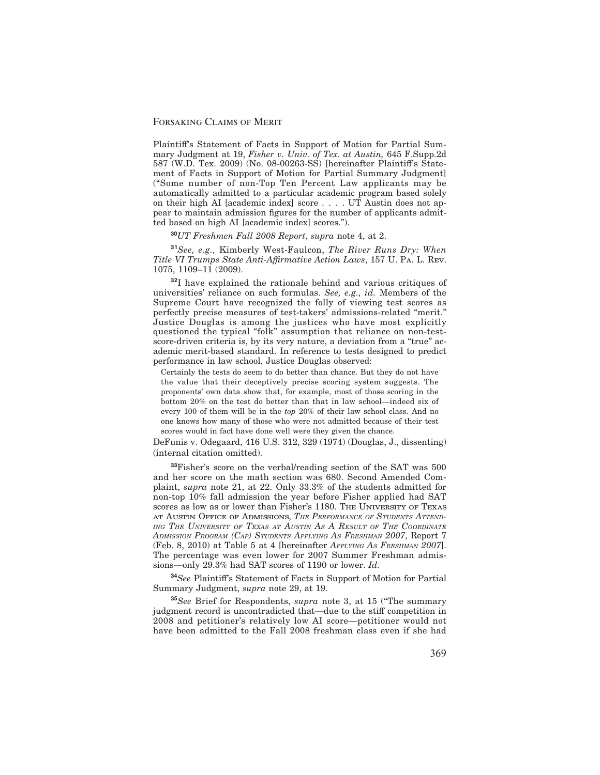Plaintiff's Statement of Facts in Support of Motion for Partial Summary Judgment at 19, *Fisher v. Univ. of Tex. at Austin,* 645 F.Supp.2d  $587$  (W.D. Tex.  $2009$ ) (No.  $08-00263-SS$ ) [hereinafter Plaintiff's Statement of Facts in Support of Motion for Partial Summary Judgment] ("Some number of non-Top Ten Percent Law applicants may be automatically admitted to a particular academic program based solely on their high AI [academic index] score . . . . UT Austin does not appear to maintain admission figures for the number of applicants admitted based on high AI [academic index] scores.").

## **<sup>30</sup>***UT Freshmen Fall 2008 Report*, *supra* note 4, at 2.

**<sup>31</sup>***See, e.g.,* Kimberly West-Faulcon, *The River Runs Dry: When* Title VI Trumps State Anti-Affirmative Action Laws, 157 U. PA. L. Rev. 1075, 1109–11 (2009).

**<sup>32</sup>**I have explained the rationale behind and various critiques of universities' reliance on such formulas. *See, e.g., id.* Members of the Supreme Court have recognized the folly of viewing test scores as perfectly precise measures of test-takers' admissions-related "merit." Justice Douglas is among the justices who have most explicitly questioned the typical "folk" assumption that reliance on non-testscore-driven criteria is, by its very nature, a deviation from a "true" academic merit-based standard. In reference to tests designed to predict performance in law school, Justice Douglas observed:

Certainly the tests do seem to do better than chance. But they do not have the value that their deceptively precise scoring system suggests. The proponents' own data show that, for example, most of those scoring in the bottom 20% on the test do better than that in law school—indeed six of every 100 of them will be in the *top* 20% of their law school class. And no one knows how many of those who were not admitted because of their test scores would in fact have done well were they given the chance.

DeFunis v. Odegaard, 416 U.S. 312, 329 (1974) (Douglas, J., dissenting) (internal citation omitted).

**<sup>33</sup>**Fisher's score on the verbal/reading section of the SAT was 500 and her score on the math section was 680. Second Amended Complaint, *supra* note 21, at 22. Only 33.3% of the students admitted for non-top 10% fall admission the year before Fisher applied had SAT scores as low as or lower than Fisher's 1180. The UNIVERSITY OF TEXAS at Austin Office of Admissions, *THE PERFORMANCE OF STUDENTS ATTEND-ING THE UNIVERSITY OF TEXAS AT AUSTIN AS A RESULT OF THE COORDINATE ADMISSION PROGRAM (CAP) STUDENTS APPLYING AS FRESHMAN 2007*, Report 7 (Feb. 8, 2010) at Table 5 at 4 [hereinafter *APPLYING AS FRESHMAN 2007*]. The percentage was even lower for 2007 Summer Freshman admissions—only 29.3% had SAT scores of 1190 or lower. *Id.*

<sup>34</sup>See Plaintiff's Statement of Facts in Support of Motion for Partial Summary Judgment, *supra* note 29, at 19.

**<sup>35</sup>***See* Brief for Respondents, *supra* note 3, at 15 ("The summary judgment record is uncontradicted that—due to the stiff competition in 2008 and petitioner's relatively low AI score—petitioner would not have been admitted to the Fall 2008 freshman class even if she had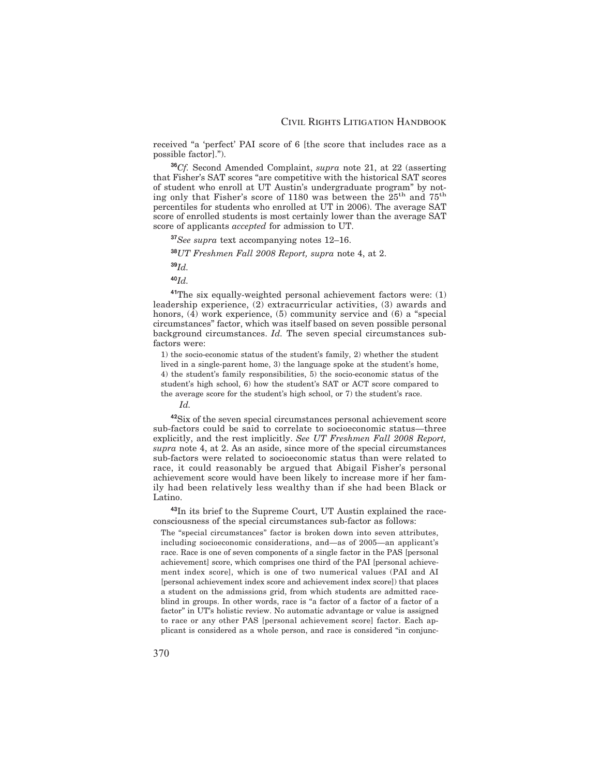received "a 'perfect' PAI score of 6 [the score that includes race as a possible factor].").

**<sup>36</sup>***Cf.* Second Amended Complaint, *supra* note 21, at 22 (asserting that Fisher's SAT scores "are competitive with the historical SAT scores of student who enroll at UT Austin's undergraduate program" by noting only that Fisher's score of 1180 was between the 25th and 75th percentiles for students who enrolled at UT in 2006). The average SAT score of enrolled students is most certainly lower than the average SAT score of applicants *accepted* for admission to UT.

**<sup>37</sup>***See supra* text accompanying notes 12–16.

**<sup>38</sup>***UT Freshmen Fall 2008 Report, supra* note 4, at 2.

**<sup>39</sup>***Id.*

**<sup>40</sup>***Id.*

**<sup>41</sup>**The six equally-weighted personal achievement factors were: (1) leadership experience, (2) extracurricular activities, (3) awards and honors, (4) work experience, (5) community service and (6) a "special circumstances" factor, which was itself based on seven possible personal background circumstances. *Id.* The seven special circumstances subfactors were:

1) the socio-economic status of the student's family, 2) whether the student lived in a single-parent home, 3) the language spoke at the student's home, 4) the student's family responsibilities, 5) the socio-economic status of the student's high school, 6) how the student's SAT or ACT score compared to the average score for the student's high school, or 7) the student's race.

*Id.*

**<sup>42</sup>**Six of the seven special circumstances personal achievement score sub-factors could be said to correlate to socioeconomic status—three explicitly, and the rest implicitly. *See UT Freshmen Fall 2008 Report, supra* note 4, at 2. As an aside, since more of the special circumstances sub-factors were related to socioeconomic status than were related to race, it could reasonably be argued that Abigail Fisher's personal achievement score would have been likely to increase more if her family had been relatively less wealthy than if she had been Black or Latino.

**<sup>43</sup>**In its brief to the Supreme Court, UT Austin explained the raceconsciousness of the special circumstances sub-factor as follows:

The "special circumstances" factor is broken down into seven attributes, including socioeconomic considerations, and—as of 2005—an applicant's race. Race is one of seven components of a single factor in the PAS [personal achievement] score, which comprises one third of the PAI [personal achievement index score], which is one of two numerical values (PAI and AI [personal achievement index score and achievement index score]) that places a student on the admissions grid, from which students are admitted raceblind in groups. In other words, race is "a factor of a factor of a factor of a factor" in UT's holistic review. No automatic advantage or value is assigned to race or any other PAS [personal achievement score] factor. Each applicant is considered as a whole person, and race is considered "in conjunc-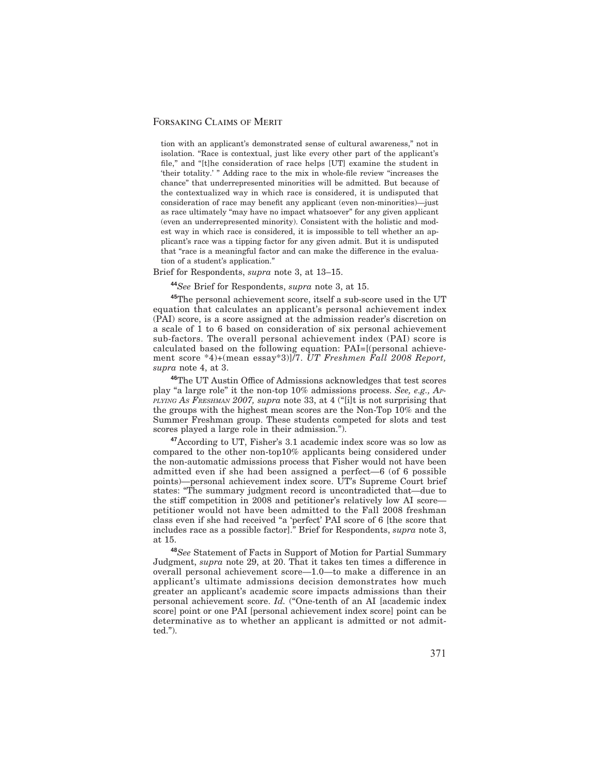tion with an applicant's demonstrated sense of cultural awareness," not in isolation. "Race is contextual, just like every other part of the applicant's file," and "[t]he consideration of race helps [UT] examine the student in 'their totality.' " Adding race to the mix in whole-file review "increases the chance" that underrepresented minorities will be admitted. But because of the contextualized way in which race is considered, it is undisputed that consideration of race may benefit any applicant (even non-minorities)—just as race ultimately "may have no impact whatsoever" for any given applicant (even an underrepresented minority). Consistent with the holistic and modest way in which race is considered, it is impossible to tell whether an applicant's race was a tipping factor for any given admit. But it is undisputed that "race is a meaningful factor and can make the difference in the evaluation of a student's application."

#### Brief for Respondents, *supra* note 3, at 13–15.

**<sup>44</sup>***See* Brief for Respondents, *supra* note 3, at 15.

**<sup>45</sup>**The personal achievement score, itself a sub-score used in the UT equation that calculates an applicant's personal achievement index (PAI) score, is a score assigned at the admission reader's discretion on a scale of 1 to 6 based on consideration of six personal achievement sub-factors. The overall personal achievement index (PAI) score is calculated based on the following equation: PAI=[(personal achievement score \*4)+(mean essay\*3)]/7. *UT Freshmen Fall 2008 Report, supra* note 4, at 3.

<sup>46</sup>The UT Austin Office of Admissions acknowledges that test scores play "a large role" it the non-top 10% admissions process. *See, e.g., AP-PLYING AS FRESHMAN 2007, supra* note 33, at 4 ("[i]t is not surprising that the groups with the highest mean scores are the Non-Top 10% and the Summer Freshman group. These students competed for slots and test scores played a large role in their admission.").

**<sup>47</sup>**According to UT, Fisher's 3.1 academic index score was so low as compared to the other non-top10% applicants being considered under the non-automatic admissions process that Fisher would not have been admitted even if she had been assigned a perfect—6 (of 6 possible points)—personal achievement index score. UT's Supreme Court brief states: "The summary judgment record is uncontradicted that—due to the stiff competition in 2008 and petitioner's relatively low AI score petitioner would not have been admitted to the Fall 2008 freshman class even if she had received "a 'perfect' PAI score of 6 [the score that includes race as a possible factor]." Brief for Respondents, *supra* note 3, at 15.

**<sup>48</sup>***See* Statement of Facts in Support of Motion for Partial Summary Judgment, *supra* note 29, at 20. That it takes ten times a difference in overall personal achievement score—1.0—to make a difference in an applicant's ultimate admissions decision demonstrates how much greater an applicant's academic score impacts admissions than their personal achievement score. *Id.* ("One-tenth of an AI [academic index score] point or one PAI [personal achievement index score] point can be determinative as to whether an applicant is admitted or not admitted.").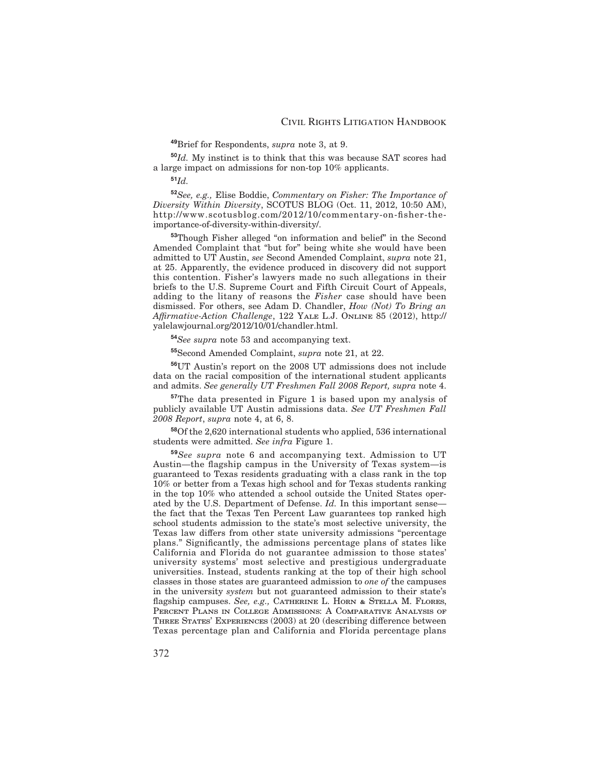**<sup>49</sup>**Brief for Respondents, *supra* note 3, at 9.

**<sup>50</sup>***Id.* My instinct is to think that this was because SAT scores had a large impact on admissions for non-top 10% applicants.

**<sup>51</sup>***Id.*

**<sup>52</sup>***See, e.g.,* Elise Boddie, *Commentary on Fisher: The Importance of Diversity Within Diversity*, SCOTUS BLOG (Oct. 11, 2012, 10:50 AM), http://www.scotusblog.com/2012/10/commentary-on--sher-theimportance-of-diversity-within-diversity/.

**<sup>53</sup>**Though Fisher alleged "on information and belief" in the Second Amended Complaint that "but for" being white she would have been admitted to UT Austin, *see* Second Amended Complaint, *supra* note 21, at 25. Apparently, the evidence produced in discovery did not support this contention. Fisher's lawyers made no such allegations in their briefs to the U.S. Supreme Court and Fifth Circuit Court of Appeals, adding to the litany of reasons the *Fisher* case should have been dismissed. For others, see Adam D. Chandler, *How (Not) To Bring an A-rmative-Action Challenge*, 122 Yale L.J. Online 85 (2012), http:// yalelawjournal.org/2012/10/01/chandler.html.

**<sup>54</sup>***See supra* note 53 and accompanying text.

**<sup>55</sup>**Second Amended Complaint, *supra* note 21, at 22.

**<sup>56</sup>**UT Austin's report on the 2008 UT admissions does not include data on the racial composition of the international student applicants and admits. *See generally UT Freshmen Fall 2008 Report, supra* note 4.

**<sup>57</sup>**The data presented in Figure 1 is based upon my analysis of publicly available UT Austin admissions data. *See UT Freshmen Fall 2008 Report*, *supra* note 4, at 6, 8.

**<sup>58</sup>**Of the 2,620 international students who applied, 536 international students were admitted. *See infra* Figure 1.

**<sup>59</sup>***See supra* note 6 and accompanying text. Admission to UT Austin—the flagship campus in the University of Texas system—is guaranteed to Texas residents graduating with a class rank in the top 10% or better from a Texas high school and for Texas students ranking in the top 10% who attended a school outside the United States operated by the U.S. Department of Defense. *Id.* In this important sense the fact that the Texas Ten Percent Law guarantees top ranked high school students admission to the state's most selective university, the Texas law differs from other state university admissions "percentage plans." Significantly, the admissions percentage plans of states like California and Florida do not guarantee admission to those states' university systems' most selective and prestigious undergraduate universities. Instead, students ranking at the top of their high school classes in those states are guaranteed admission to *one of* the campuses in the university *system* but not guaranteed admission to their state's flagship campuses. *See, e.g.,* CATHERINE L. HORN & STELLA M. FLORES, Percent Plans in College Admissions: A Comparative Analysis of THREE STATES' EXPERIENCES (2003) at 20 (describing difference between Texas percentage plan and California and Florida percentage plans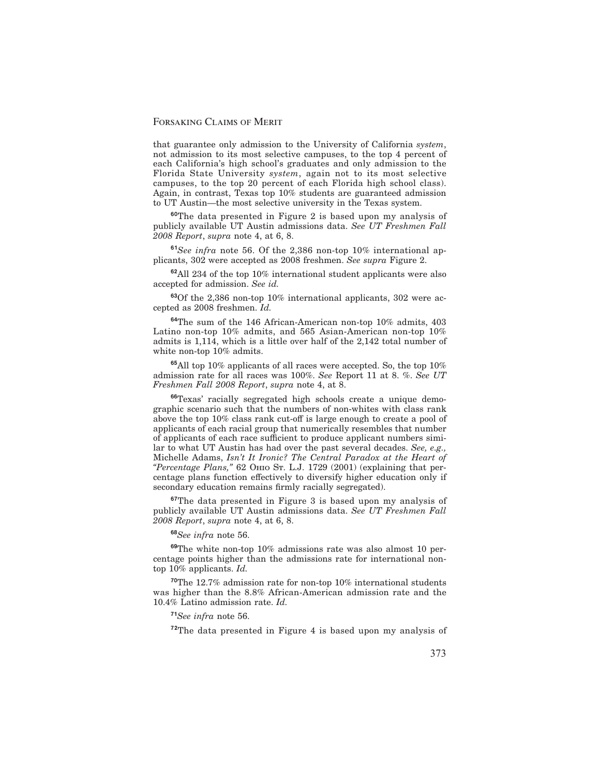that guarantee only admission to the University of California *system*, not admission to its most selective campuses, to the top 4 percent of each California's high school's graduates and only admission to the Florida State University *system*, again not to its most selective campuses, to the top 20 percent of each Florida high school class). Again, in contrast, Texas top 10% students are guaranteed admission to UT Austin—the most selective university in the Texas system.

**<sup>60</sup>**The data presented in Figure 2 is based upon my analysis of publicly available UT Austin admissions data. *See UT Freshmen Fall 2008 Report*, *supra* note 4, at 6, 8.

**<sup>61</sup>***See infra* note 56. Of the 2,386 non-top 10% international applicants, 302 were accepted as 2008 freshmen. *See supra* Figure 2.

**<sup>62</sup>**All 234 of the top 10% international student applicants were also accepted for admission. *See id.*

**<sup>63</sup>**Of the 2,386 non-top 10% international applicants, 302 were accepted as 2008 freshmen. *Id.*

**<sup>64</sup>**The sum of the 146 African-American non-top 10% admits, 403 Latino non-top 10% admits, and 565 Asian-American non-top 10% admits is 1,114, which is a little over half of the 2,142 total number of white non-top 10% admits.

**<sup>65</sup>**All top 10% applicants of all races were accepted. So, the top 10% admission rate for all races was 100%. *See* Report 11 at 8. %. *See UT Freshmen Fall 2008 Report*, *supra* note 4, at 8.

**<sup>66</sup>**Texas' racially segregated high schools create a unique demographic scenario such that the numbers of non-whites with class rank above the top 10% class rank cut-off is large enough to create a pool of applicants of each racial group that numerically resembles that number of applicants of each race sufficient to produce applicant numbers similar to what UT Austin has had over the past several decades. *See, e.g.,* Michelle Adams, *Isn't It Ironic? The Central Paradox at the Heart of "Percentage Plans,"* 62 Ohio St. L.J. 1729 (2001) (explaining that percentage plans function effectively to diversify higher education only if secondary education remains firmly racially segregated).

**<sup>67</sup>**The data presented in Figure 3 is based upon my analysis of publicly available UT Austin admissions data. *See UT Freshmen Fall 2008 Report*, *supra* note 4, at 6, 8.

**<sup>68</sup>***See infra* note 56.

**<sup>69</sup>**The white non-top 10% admissions rate was also almost 10 percentage points higher than the admissions rate for international nontop 10% applicants. *Id.*

**<sup>70</sup>**The 12.7% admission rate for non-top 10% international students was higher than the 8.8% African-American admission rate and the 10.4% Latino admission rate. *Id.*

#### **<sup>71</sup>***See infra* note 56.

**<sup>72</sup>**The data presented in Figure 4 is based upon my analysis of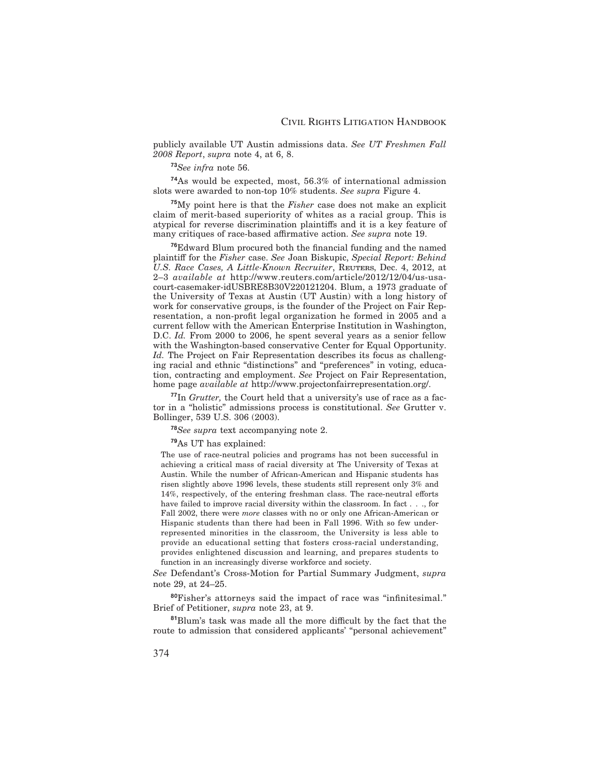publicly available UT Austin admissions data. *See UT Freshmen Fall 2008 Report*, *supra* note 4, at 6, 8.

## **<sup>73</sup>***See infra* note 56.

**<sup>74</sup>**As would be expected, most, 56.3% of international admission slots were awarded to non-top 10% students. *See supra* Figure 4.

**<sup>75</sup>**My point here is that the *Fisher* case does not make an explicit claim of merit-based superiority of whites as a racial group. This is atypical for reverse discrimination plaintiffs and it is a key feature of many critiques of race-based affirmative action. *See supra* note 19.

<sup>76</sup>Edward Blum procured both the financial funding and the named plaintiff for the *Fisher* case. See Joan Biskupic, *Special Report: Behind* U.S. Race Cases, A Little-Known Recruiter, REUTERS, Dec. 4, 2012, at 2–3 *available at* http://www.reuters.com/article/2012/12/04/us-usacourt-casemaker-idUSBRE8B30V220121204. Blum, a 1973 graduate of the University of Texas at Austin (UT Austin) with a long history of work for conservative groups, is the founder of the Project on Fair Representation, a non-profit legal organization he formed in 2005 and a current fellow with the American Enterprise Institution in Washington, D.C. *Id.* From 2000 to 2006, he spent several years as a senior fellow with the Washington-based conservative Center for Equal Opportunity. *Id.* The Project on Fair Representation describes its focus as challenging racial and ethnic "distinctions" and "preferences" in voting, education, contracting and employment. *See* Project on Fair Representation, home page *available at* http://www.projectonfairrepresentation.org/.

**<sup>77</sup>**In *Grutter,* the Court held that a university's use of race as a factor in a "holistic" admissions process is constitutional. *See* Grutter v. Bollinger, 539 U.S. 306 (2003).

**<sup>78</sup>***See supra* text accompanying note 2.

**<sup>79</sup>**As UT has explained:

The use of race-neutral policies and programs has not been successful in achieving a critical mass of racial diversity at The University of Texas at Austin. While the number of African-American and Hispanic students has risen slightly above 1996 levels, these students still represent only 3% and 14%, respectively, of the entering freshman class. The race-neutral efforts have failed to improve racial diversity within the classroom. In fact . . ., for Fall 2002, there were *more* classes with no or only one African-American or Hispanic students than there had been in Fall 1996. With so few underrepresented minorities in the classroom, the University is less able to provide an educational setting that fosters cross-racial understanding, provides enlightened discussion and learning, and prepares students to function in an increasingly diverse workforce and society.

*See* Defendant's Cross-Motion for Partial Summary Judgment, *supra* note 29, at 24–25.

80Fisher's attorneys said the impact of race was "infinitesimal." Brief of Petitioner, *supra* note 23, at 9.

<sup>81</sup>Blum's task was made all the more difficult by the fact that the route to admission that considered applicants' "personal achievement"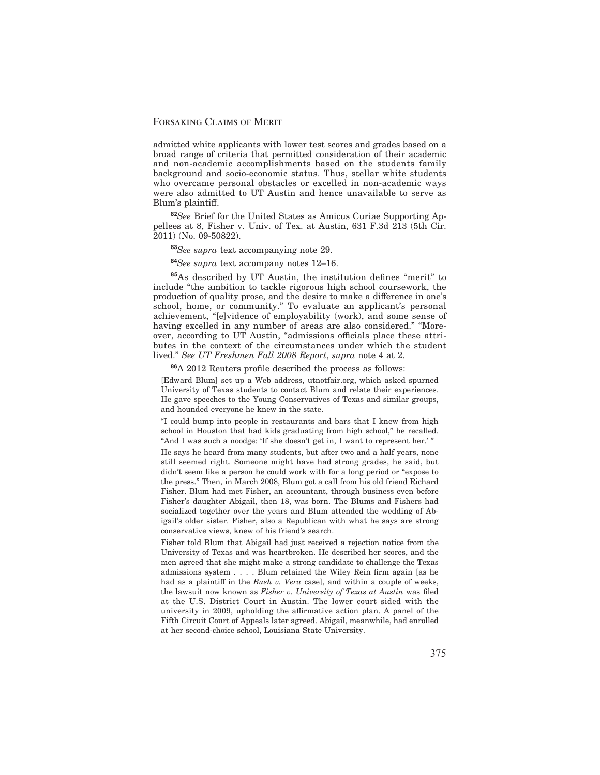admitted white applicants with lower test scores and grades based on a broad range of criteria that permitted consideration of their academic and non-academic accomplishments based on the students family background and socio-economic status. Thus, stellar white students who overcame personal obstacles or excelled in non-academic ways were also admitted to UT Austin and hence unavailable to serve as Blum's plaintiff.

**<sup>82</sup>***See* Brief for the United States as Amicus Curiae Supporting Appellees at 8, Fisher v. Univ. of Tex. at Austin, 631 F.3d 213 (5th Cir. 2011) (No. 09-50822).

**<sup>83</sup>***See supra* text accompanying note 29.

**<sup>84</sup>***See supra* text accompany notes 12–16.

85As described by UT Austin, the institution defines "merit" to include "the ambition to tackle rigorous high school coursework, the production of quality prose, and the desire to make a difference in one's school, home, or community." To evaluate an applicant's personal achievement, "[e]vidence of employability (work), and some sense of having excelled in any number of areas are also considered." "Moreover, according to UT Austin, "admissions officials place these attributes in the context of the circumstances under which the student lived." *See UT Freshmen Fall 2008 Report*, *supra* note 4 at 2.

<sup>86</sup>A 2012 Reuters profile described the process as follows:

[Edward Blum] set up a Web address, utnotfair.org, which asked spurned University of Texas students to contact Blum and relate their experiences. He gave speeches to the Young Conservatives of Texas and similar groups, and hounded everyone he knew in the state.

"I could bump into people in restaurants and bars that I knew from high school in Houston that had kids graduating from high school," he recalled. "And I was such a noodge: 'If she doesn't get in, I want to represent her.' "

He says he heard from many students, but after two and a half years, none still seemed right. Someone might have had strong grades, he said, but didn't seem like a person he could work with for a long period or "expose to the press." Then, in March 2008, Blum got a call from his old friend Richard Fisher. Blum had met Fisher, an accountant, through business even before Fisher's daughter Abigail, then 18, was born. The Blums and Fishers had socialized together over the years and Blum attended the wedding of Abigail's older sister. Fisher, also a Republican with what he says are strong conservative views, knew of his friend's search.

Fisher told Blum that Abigail had just received a rejection notice from the University of Texas and was heartbroken. He described her scores, and the men agreed that she might make a strong candidate to challenge the Texas admissions system . . . . Blum retained the Wiley Rein firm again [as he had as a plaintiff in the *Bush v. Vera* case, and within a couple of weeks, the lawsuit now known as *Fisher v. University of Texas at Austin* was filed at the U.S. District Court in Austin. The lower court sided with the university in 2009, upholding the affirmative action plan. A panel of the Fifth Circuit Court of Appeals later agreed. Abigail, meanwhile, had enrolled at her second-choice school, Louisiana State University.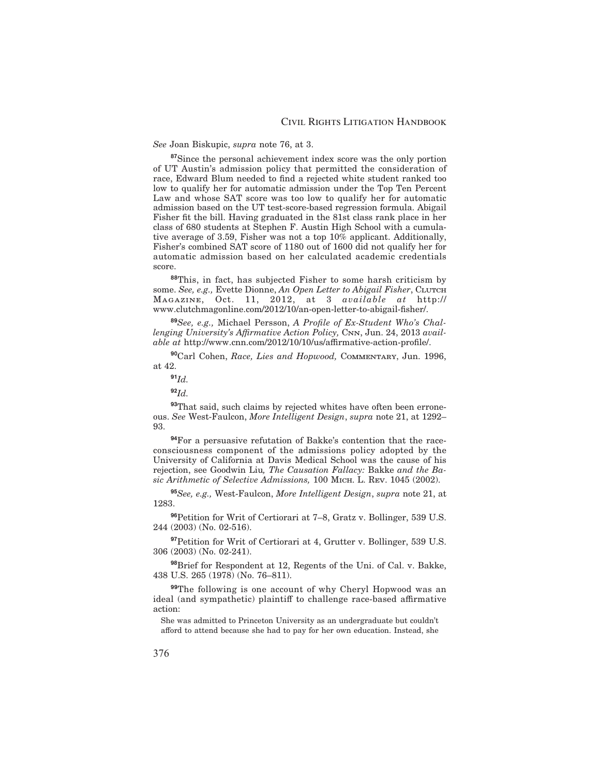#### *See* Joan Biskupic, *supra* note 76, at 3.

**<sup>87</sup>**Since the personal achievement index score was the only portion of UT Austin's admission policy that permitted the consideration of race, Edward Blum needed to find a rejected white student ranked too low to qualify her for automatic admission under the Top Ten Percent Law and whose SAT score was too low to qualify her for automatic admission based on the UT test-score-based regression formula. Abigail Fisher fit the bill. Having graduated in the 81st class rank place in her class of 680 students at Stephen F. Austin High School with a cumulative average of 3.59, Fisher was not a top 10% applicant. Additionally, Fisher's combined SAT score of 1180 out of 1600 did not qualify her for automatic admission based on her calculated academic credentials score.

**<sup>88</sup>**This, in fact, has subjected Fisher to some harsh criticism by some. See, e.g., Evette Dionne, *An Open Letter to Abigail Fisher*, CLUTCH Magazine, Oct. 11, 2012, at 3 *available at* http:// www.clutchmagonline.com/2012/10/an-open-letter-to-abigail-fisher/.

89 See, e.g., Michael Persson, *A Profile of Ex-Student Who's Challenging University's Affirmative Action Policy, CNN, Jun. 24, 2013 avail*able at http://www.cnn.com/2012/10/10/us/affirmative-action-profile/.

**<sup>90</sup>**Carl Cohen, *Race, Lies and Hopwood,* Commentary, Jun. 1996, at 42.

**<sup>91</sup>***Id.*

**<sup>92</sup>***Id.*

**<sup>93</sup>**That said, such claims by rejected whites have often been erroneous. *See* West-Faulcon, *More Intelligent Design*, *supra* note 21, at 1292– 93.

**<sup>94</sup>**For a persuasive refutation of Bakke's contention that the raceconsciousness component of the admissions policy adopted by the University of California at Davis Medical School was the cause of his rejection, see Goodwin Liu*, The Causation Fallacy:* Bakke *and the Basic Arithmetic of Selective Admissions,* 100 Mich. L. Rev. 1045 (2002).

**<sup>95</sup>***See, e.g.,* West-Faulcon, *More Intelligent Design*, *supra* note 21, at 1283.

**<sup>96</sup>**Petition for Writ of Certiorari at 7–8, Gratz v. Bollinger, 539 U.S. 244 (2003) (No. 02-516).

**<sup>97</sup>**Petition for Writ of Certiorari at 4, Grutter v. Bollinger, 539 U.S. 306 (2003) (No. 02-241).

**<sup>98</sup>**Brief for Respondent at 12, Regents of the Uni. of Cal. v. Bakke, 438 U.S. 265 (1978) (No. 76–811).

**<sup>99</sup>**The following is one account of why Cheryl Hopwood was an ideal (and sympathetic) plaintiff to challenge race-based affirmative action:

She was admitted to Princeton University as an undergraduate but couldn't afford to attend because she had to pay for her own education. Instead, she